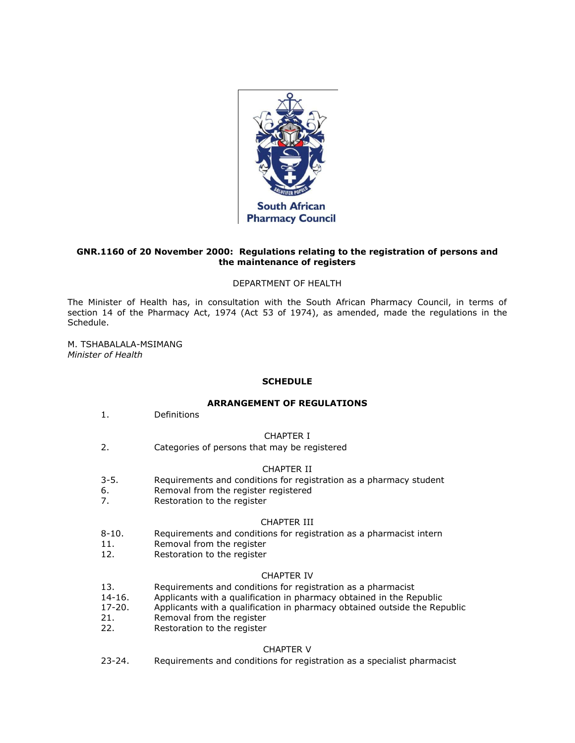

# **GNR.1160 of 20 November 2000: Regulations relating to the registration of persons and the maintenance of registers**

### DEPARTMENT OF HEALTH

The Minister of Health has, in consultation with the South African Pharmacy Council, in terms of [section 14](http://www.mylexisnexis.co.za/nxt/gateway.dll/jilc/kilc/xjsg/zmsg/0msg/614h#0) of the Pharmacy Act, 1974 (Act [53 of 1974\)](http://www.mylexisnexis.co.za/nxt/gateway.dll/jilc/kilc/xjsg/zmsg/0msg#0), as amended, made the regulations in [the](http://www.mylexisnexis.co.za/nxt/gateway.dll/jilc/kilc/xjsg/zmsg/cnsg/6ok2a/lsk2a?f=templates$fn=document-frame.htm$3.0$q=$x=$nc=1423#3cr)  [Schedule.](http://www.mylexisnexis.co.za/nxt/gateway.dll/jilc/kilc/xjsg/zmsg/cnsg/6ok2a/lsk2a?f=templates$fn=document-frame.htm$3.0$q=$x=$nc=1423#3cr)

M. TSHABALALA-MSIMANG *Minister of Health*

### **SCHEDULE**

### **ARRANGEMENT OF REGULATIONS**

[1.](http://www.mylexisnexis.co.za/nxt/gateway.dll/jilc/kilc/xjsg/zmsg/cnsg/6ok2a/lsk2a/msk2a#3cq) Definitions

### CHAPTER I

[2.](http://www.mylexisnexis.co.za/nxt/gateway.dll/jilc/kilc/xjsg/zmsg/cnsg/6ok2a/lsk2a/nsk2a#3dv) Categories of persons that may be registered

### CHAPTER II

- [3-](http://www.mylexisnexis.co.za/nxt/gateway.dll/jilc/kilc/xjsg/zmsg/cnsg/6ok2a/lsk2a/osk2a#3ea)[5.](http://www.mylexisnexis.co.za/nxt/gateway.dll/jilc/kilc/xjsg/zmsg/cnsg/6ok2a/lsk2a/qsk2a#3eh) Requirements and conditions for registration as a pharmacy student
- [6.](http://www.mylexisnexis.co.za/nxt/gateway.dll/jilc/kilc/xjsg/zmsg/cnsg/6ok2a/lsk2a/rsk2a#3ei) Removal from the register registered
- [7.](http://www.mylexisnexis.co.za/nxt/gateway.dll/jilc/kilc/xjsg/zmsg/cnsg/6ok2a/lsk2a/ssk2a#3eo) Restoration to the register

### CHAPTER III

- [8-](http://www.mylexisnexis.co.za/nxt/gateway.dll/jilc/kilc/xjsg/zmsg/cnsg/6ok2a/lsk2a/tsk2a#3et)[10.](http://www.mylexisnexis.co.za/nxt/gateway.dll/jilc/kilc/xjsg/zmsg/cnsg/6ok2a/lsk2a/vsk2a#3f5) Requirements and conditions for registration as a pharmacist intern
- [11.](http://www.mylexisnexis.co.za/nxt/gateway.dll/jilc/kilc/xjsg/zmsg/cnsg/6ok2a/lsk2a/wsk2a#3f6) Removal from the register
- [12.](http://www.mylexisnexis.co.za/nxt/gateway.dll/jilc/kilc/xjsg/zmsg/cnsg/6ok2a/lsk2a/xsk2a#3fe) Restoration to the register

### CHAPTER IV

- [13.](http://www.mylexisnexis.co.za/nxt/gateway.dll/jilc/kilc/xjsg/zmsg/cnsg/6ok2a/lsk2a/ysk2a#3fk) Requirements and conditions for registration as a pharmacist
- [14](http://www.mylexisnexis.co.za/nxt/gateway.dll/jilc/kilc/xjsg/zmsg/cnsg/6ok2a/lsk2a/zsk2a#3fn)[-16.](http://www.mylexisnexis.co.za/nxt/gateway.dll/jilc/kilc/xjsg/zmsg/cnsg/6ok2a/lsk2a/1sk2a#3g0) Applicants with a qualification in pharmacy obtained in the Republic
- [17](http://www.mylexisnexis.co.za/nxt/gateway.dll/jilc/kilc/xjsg/zmsg/cnsg/6ok2a/lsk2a/2sk2a#3g1)[-20.](http://www.mylexisnexis.co.za/nxt/gateway.dll/jilc/kilc/xjsg/zmsg/cnsg/6ok2a/lsk2a/5sk2a#3gk) Applicants with a qualification in pharmacy obtained outside the Republic
- [21.](http://www.mylexisnexis.co.za/nxt/gateway.dll/jilc/kilc/xjsg/zmsg/cnsg/6ok2a/lsk2a/6sk2a#3gn) Removal from the register
- [22.](http://www.mylexisnexis.co.za/nxt/gateway.dll/jilc/kilc/xjsg/zmsg/cnsg/6ok2a/lsk2a/7sk2a#3gs) Restoration to the register

# CHAPTER V

[23](http://www.mylexisnexis.co.za/nxt/gateway.dll/jilc/kilc/xjsg/zmsg/cnsg/6ok2a/lsk2a/8sk2a#3gx)[-24.](http://www.mylexisnexis.co.za/nxt/gateway.dll/jilc/kilc/xjsg/zmsg/cnsg/6ok2a/lsk2a/9sk2a#3h5) Requirements and conditions for registration as a specialist pharmacist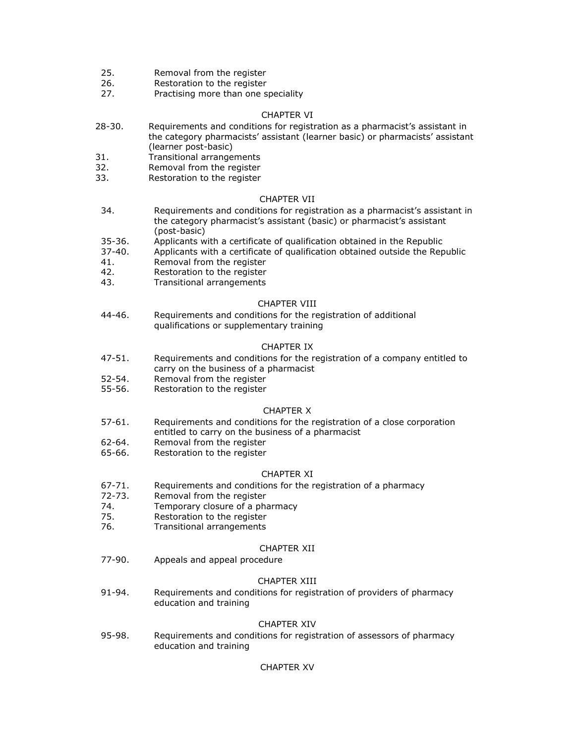- [25.](http://www.mylexisnexis.co.za/nxt/gateway.dll/jilc/kilc/xjsg/zmsg/cnsg/6ok2a/lsk2a/atk2a#3h6) Removal from the register
- [26.](http://www.mylexisnexis.co.za/nxt/gateway.dll/jilc/kilc/xjsg/zmsg/cnsg/6ok2a/lsk2a/btk2a#3hb) Restoration to the register
- [27.](http://www.mylexisnexis.co.za/nxt/gateway.dll/jilc/kilc/xjsg/zmsg/cnsg/6ok2a/lsk2a/ctk2a#3hg) Practising more than one speciality

### CHAPTER VI

- [28](http://www.mylexisnexis.co.za/nxt/gateway.dll/jilc/kilc/xjsg/zmsg/cnsg/6ok2a/lsk2a/dtk2a#3hh)[-30.](http://www.mylexisnexis.co.za/nxt/gateway.dll/jilc/kilc/xjsg/zmsg/cnsg/6ok2a/lsk2a/ftk2a#3hr) Requirements and conditions for registration as a pharmacist's assistant in the category pharmacists' assistant (learner basic) or pharmacists' assistant (learner post-basic)
- [31.](http://www.mylexisnexis.co.za/nxt/gateway.dll/jilc/kilc/xjsg/zmsg/cnsg/6ok2a/lsk2a/gtk2a#3hs) Transitional arrangements
- [32.](http://www.mylexisnexis.co.za/nxt/gateway.dll/jilc/kilc/xjsg/zmsg/cnsg/6ok2a/lsk2a/htk2a#3hv) Removal from the register
- [33.](http://www.mylexisnexis.co.za/nxt/gateway.dll/jilc/kilc/xjsg/zmsg/cnsg/6ok2a/lsk2a/itk2a#3i1) Restoration to the register

#### CHAPTER VII

- [34.](http://www.mylexisnexis.co.za/nxt/gateway.dll/jilc/kilc/xjsg/zmsg/cnsg/6ok2a/lsk2a/jtk2a#3i6) Requirements and conditions for registration as a pharmacist's assistant in the category pharmacist's assistant (basic) or pharmacist's assistant (post-basic)
- [35](http://www.mylexisnexis.co.za/nxt/gateway.dll/jilc/kilc/xjsg/zmsg/cnsg/6ok2a/lsk2a/ktk2a#3i9)[-36.](http://www.mylexisnexis.co.za/nxt/gateway.dll/jilc/kilc/xjsg/zmsg/cnsg/6ok2a/lsk2a/ltk2a#3ig) Applicants with a certificate of qualification obtained in the Republic
- [37](http://www.mylexisnexis.co.za/nxt/gateway.dll/jilc/kilc/xjsg/zmsg/cnsg/6ok2a/lsk2a/mtk2a#3ih)[-40.](http://www.mylexisnexis.co.za/nxt/gateway.dll/jilc/kilc/xjsg/zmsg/cnsg/6ok2a/lsk2a/ptk2a#3iw) Applicants with a certificate of qualification obtained outside the Republic
- [41.](http://www.mylexisnexis.co.za/nxt/gateway.dll/jilc/kilc/xjsg/zmsg/cnsg/6ok2a/lsk2a/qtk2a#3ix) Removal from the register
- [42.](http://www.mylexisnexis.co.za/nxt/gateway.dll/jilc/kilc/xjsg/zmsg/cnsg/6ok2a/lsk2a/rtk2a#3j2) Restoration to the register
- [43.](http://www.mylexisnexis.co.za/nxt/gateway.dll/jilc/kilc/xjsg/zmsg/cnsg/6ok2a/lsk2a/stk2a#3j7) Transitional arrangements

### CHAPTER VIII

[44](http://www.mylexisnexis.co.za/nxt/gateway.dll/jilc/kilc/xjsg/zmsg/cnsg/6ok2a/lsk2a/ttk2a#3j8)[-46.](http://www.mylexisnexis.co.za/nxt/gateway.dll/jilc/kilc/xjsg/zmsg/cnsg/6ok2a/lsk2a/vtk2a#3je) Requirements and conditions for the registration of additional qualifications or supplementary training

### CHAPTER IX

- [47](http://www.mylexisnexis.co.za/nxt/gateway.dll/jilc/kilc/xjsg/zmsg/cnsg/6ok2a/lsk2a/wtk2a#3jf)[-51.](http://www.mylexisnexis.co.za/nxt/gateway.dll/jilc/kilc/xjsg/zmsg/cnsg/6ok2a/lsk2a/0tk2a#3k0) Requirements and conditions for the registration of a company entitled to carry on the business of a pharmacist
- [52](http://www.mylexisnexis.co.za/nxt/gateway.dll/jilc/kilc/xjsg/zmsg/cnsg/6ok2a/lsk2a/1tk2a#3k1)[-54.](http://www.mylexisnexis.co.za/nxt/gateway.dll/jilc/kilc/xjsg/zmsg/cnsg/6ok2a/lsk2a/3tk2a#3k8) Removal from the register
- [55](http://www.mylexisnexis.co.za/nxt/gateway.dll/jilc/kilc/xjsg/zmsg/cnsg/6ok2a/lsk2a/4tk2a#3k9)[-56.](http://www.mylexisnexis.co.za/nxt/gateway.dll/jilc/kilc/xjsg/zmsg/cnsg/6ok2a/lsk2a/5tk2a#3kf) Restoration to the register

### CHAPTER X

- [57](http://www.mylexisnexis.co.za/nxt/gateway.dll/jilc/kilc/xjsg/zmsg/cnsg/6ok2a/lsk2a/6tk2a#3kg)[-61.](http://www.mylexisnexis.co.za/nxt/gateway.dll/jilc/kilc/xjsg/zmsg/cnsg/6ok2a/lsk2a/auk2a#3l1) Requirements and conditions for the registration of a close corporation entitled to carry on the business of a pharmacist
- [62](http://www.mylexisnexis.co.za/nxt/gateway.dll/jilc/kilc/xjsg/zmsg/cnsg/6ok2a/lsk2a/buk2a#3l2)[-64.](http://www.mylexisnexis.co.za/nxt/gateway.dll/jilc/kilc/xjsg/zmsg/cnsg/6ok2a/lsk2a/duk2a#3l9) Removal from the register
- [65](http://www.mylexisnexis.co.za/nxt/gateway.dll/jilc/kilc/xjsg/zmsg/cnsg/6ok2a/lsk2a/euk2a#3la)[-66.](http://www.mylexisnexis.co.za/nxt/gateway.dll/jilc/kilc/xjsg/zmsg/cnsg/6ok2a/lsk2a/fuk2a#3lg) Restoration to the register

### CHAPTER XI

- [67](http://www.mylexisnexis.co.za/nxt/gateway.dll/jilc/kilc/xjsg/zmsg/cnsg/6ok2a/lsk2a/guk2a#3lh)[-71.](http://www.mylexisnexis.co.za/nxt/gateway.dll/jilc/kilc/xjsg/zmsg/cnsg/6ok2a/lsk2a/kuk2a#3m1) Requirements and conditions for the registration of a pharmacy
- [72](http://www.mylexisnexis.co.za/nxt/gateway.dll/jilc/kilc/xjsg/zmsg/cnsg/6ok2a/lsk2a/luk2a#3m2)[-73.](http://www.mylexisnexis.co.za/nxt/gateway.dll/jilc/kilc/xjsg/zmsg/cnsg/6ok2a/lsk2a/muk2a#3m7) Removal from the register
- [74.](http://www.mylexisnexis.co.za/nxt/gateway.dll/jilc/kilc/xjsg/zmsg/cnsg/6ok2a/lsk2a/nuk2a#3m8) Temporary closure of a pharmacy
- [75.](http://www.mylexisnexis.co.za/nxt/gateway.dll/jilc/kilc/xjsg/zmsg/cnsg/6ok2a/lsk2a/ouk2a#3m9) Restoration to the register
- [76.](http://www.mylexisnexis.co.za/nxt/gateway.dll/jilc/kilc/xjsg/zmsg/cnsg/6ok2a/lsk2a/puk2a#3mf) Transitional arrangements

#### CHAPTER XII

[77](http://www.mylexisnexis.co.za/nxt/gateway.dll/jilc/kilc/xjsg/zmsg/cnsg/6ok2a/lsk2a/quk2a#3mg)[-90.](http://www.mylexisnexis.co.za/nxt/gateway.dll/jilc/kilc/xjsg/zmsg/cnsg/6ok2a/lsk2a/3uk2a#3my) Appeals and appeal procedure

### CHAPTER XIII

[91](http://www.mylexisnexis.co.za/nxt/gateway.dll/jilc/kilc/xjsg/zmsg/cnsg/6ok2a/lsk2a/4uk2a#3mz)[-94.](http://www.mylexisnexis.co.za/nxt/gateway.dll/jilc/kilc/xjsg/zmsg/cnsg/6ok2a/lsk2a/7uk2a#3n6) Requirements and conditions for registration of providers of pharmacy education and training

### CHAPTER XIV

[95](http://www.mylexisnexis.co.za/nxt/gateway.dll/jilc/kilc/xjsg/zmsg/cnsg/6ok2a/lsk2a/8uk2a#3n7)[-98.](http://www.mylexisnexis.co.za/nxt/gateway.dll/jilc/kilc/xjsg/zmsg/cnsg/6ok2a/lsk2a/bvk2a#3ne) Requirements and conditions for registration of assessors of pharmacy education and training

### CHAPTER XV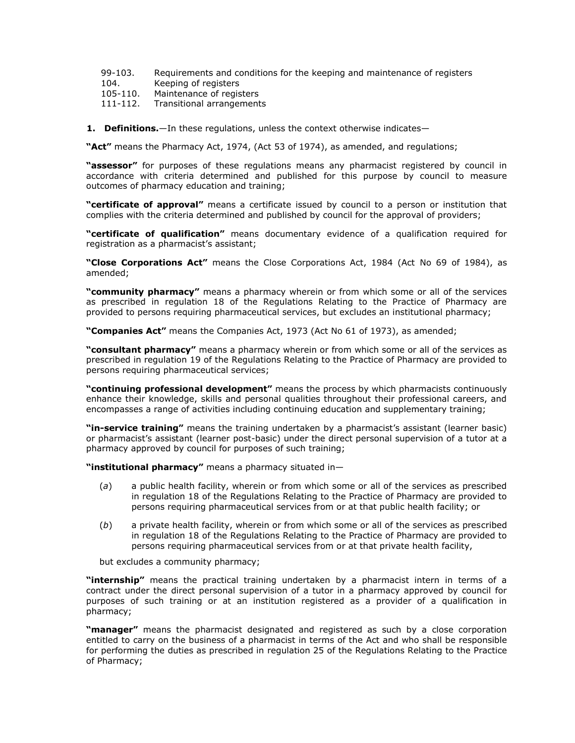- [99](http://www.mylexisnexis.co.za/nxt/gateway.dll/jilc/kilc/xjsg/zmsg/cnsg/6ok2a/lsk2a/cvk2a#3nf)[-103.](http://www.mylexisnexis.co.za/nxt/gateway.dll/jilc/kilc/xjsg/zmsg/cnsg/6ok2a/lsk2a/gvk2a#3ny) Requirements and conditions for the keeping and maintenance of registers
- [104.](http://www.mylexisnexis.co.za/nxt/gateway.dll/jilc/kilc/xjsg/zmsg/cnsg/6ok2a/lsk2a/hvk2a#3o2) Keeping of registers<br>105-110. Maintenance of regis
- Maintenance of registers
- [111-](http://www.mylexisnexis.co.za/nxt/gateway.dll/jilc/kilc/xjsg/zmsg/cnsg/6ok2a/lsk2a/ovk2a#3pd)[112.](http://www.mylexisnexis.co.za/nxt/gateway.dll/jilc/kilc/xjsg/zmsg/cnsg/6ok2a/lsk2a/pvk2a#3pe) Transitional arrangements
- **1.** Definitions.—In these regulations, unless the context otherwise indicates—

**"Act"** means the Pharmacy Act, 1974, (Act [53 of 1974\)](http://www.mylexisnexis.co.za/nxt/gateway.dll/jilc/kilc/xjsg/zmsg/0msg#0), as amended, and regulations;

**"assessor"** for purposes of these regulations means any pharmacist registered by council in accordance with criteria determined and published for this purpose by council to measure outcomes of pharmacy education and training;

**"certificate of approval"** means a certificate issued by council to a person or institution that complies with the criteria determined and published by council for the approval of providers;

**"certificate of qualification"** means documentary evidence of a qualification required for registration as a pharmacist's assistant;

**"Close Corporations Act"** means the Close Corporations Act, 1984 (Act [No 69 of 1984\)](http://www.mylexisnexis.co.za/nxt/gateway.dll/jilc/kilc/egqg/ljqg/mjqg#0), as amended;

**"community pharmacy"** means a pharmacy wherein or from which some or all of the services as prescribed in [regulation 18](http://www.mylexisnexis.co.za/nxt/gateway.dll/jilc/kilc/xjsg/zmsg/cnsg/6ok2a/lsk2a/3sk2a#3gc) of the Regulations Relating to the Practice of Pharmacy are provided to persons requiring pharmaceutical services, but excludes an institutional pharmacy;

**"Companies Act"** means the Companies Act, 1973 (Act [No 61 of 1973\)](http://www.mylexisnexis.co.za/nxt/gateway.dll/jilc/kilc/egqg/lmqg/mmqg#0), as amended;

**"consultant pharmacy"** means a pharmacy wherein or from which some or all of the services as prescribed in [regulation 19](http://www.mylexisnexis.co.za/nxt/gateway.dll/jilc/kilc/xjsg/zmsg/cnsg/6ok2a/lsk2a/4sk2a#3gj) of the Regulations Relating to the Practice of Pharmacy are provided to persons requiring pharmaceutical services;

**"continuing professional development"** means the process by which pharmacists continuously enhance their knowledge, skills and personal qualities throughout their professional careers, and encompasses a range of activities including continuing education and supplementary training;

**"in-service training"** means the training undertaken by a pharmacist's assistant (learner basic) or pharmacist's assistant (learner post-basic) under the direct personal supervision of a tutor at a pharmacy approved by council for purposes of such training;

**"institutional pharmacy"** means a pharmacy situated in—

- (*a*) a public health facility, wherein or from which some or all of the services as prescribed in [regulation 18](http://www.mylexisnexis.co.za/nxt/gateway.dll/jilc/kilc/xjsg/zmsg/cnsg/6ok2a/lsk2a/3sk2a#3gc) of the Regulations Relating to the Practice of Pharmacy are provided to persons requiring pharmaceutical services from or at that public health facility; or
- (*b*) a private health facility, wherein or from which some or all of the services as prescribed in [regulation 18](http://www.mylexisnexis.co.za/nxt/gateway.dll/jilc/kilc/xjsg/zmsg/cnsg/6ok2a/lsk2a/3sk2a#3gc) of the Regulations Relating to the Practice of Pharmacy are provided to persons requiring pharmaceutical services from or at that private health facility,

but excludes a community pharmacy;

**"internship"** means the practical training undertaken by a pharmacist intern in terms of a contract under the direct personal supervision of a tutor in a pharmacy approved by council for purposes of such training or at an institution registered as a provider of a qualification in pharmacy;

**"manager"** means the pharmacist designated and registered as such by a close corporation entitled to carry on the business of a pharmacist in terms of the Act and who shall be responsible for performing the duties as prescribed in [regulation 25](http://www.mylexisnexis.co.za/nxt/gateway.dll/jilc/kilc/xjsg/zmsg/cnsg/6ok2a/lsk2a/atk2a#3h6) of the Regulations Relating to the Practice of Pharmacy;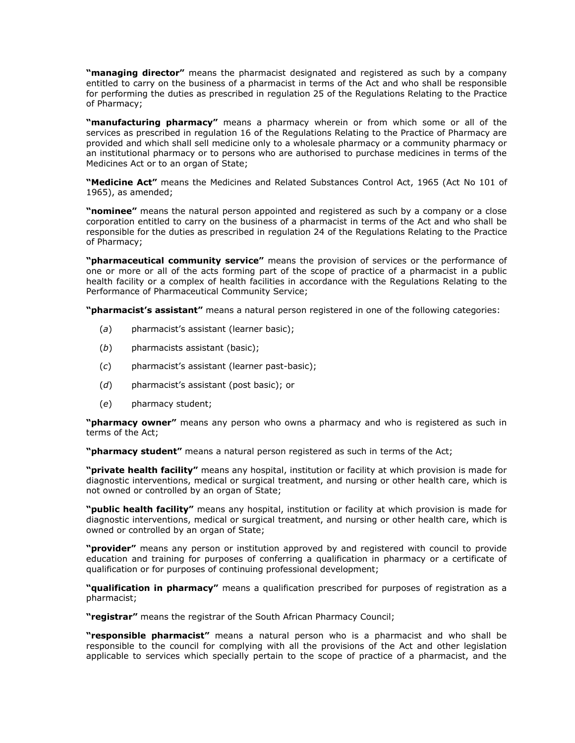**"managing director"** means the pharmacist designated and registered as such by a company entitled to carry on the business of a pharmacist in terms of the Act and who shall be responsible for performing the duties as prescribed in [regulation 25](http://www.mylexisnexis.co.za/nxt/gateway.dll/jilc/kilc/xjsg/zmsg/cnsg/6ok2a/lsk2a/atk2a#3h6) of the Regulations Relating to the Practice of Pharmacy;

**"manufacturing pharmacy"** means a pharmacy wherein or from which some or all of the services as prescribed in [regulation 16](http://www.mylexisnexis.co.za/nxt/gateway.dll/jilc/kilc/xjsg/zmsg/cnsg/6ok2a/lsk2a/1sk2a#3g0) of the Regulations Relating to the Practice of Pharmacy are provided and which shall sell medicine only to a wholesale pharmacy or a community pharmacy or an institutional pharmacy or to persons who are authorised to purchase medicines in terms of the Medicines Act or to an organ of State;

**"Medicine Act"** means the Medicines and Related Substances Control Act, 1965 (Act [No 101 of](http://www.mylexisnexis.co.za/nxt/gateway.dll/jilc/kilc/ezrg/p5rg/q5rg#0)  [1965\)](http://www.mylexisnexis.co.za/nxt/gateway.dll/jilc/kilc/ezrg/p5rg/q5rg#0), as amended;

**"nominee"** means the natural person appointed and registered as such by a company or a close corporation entitled to carry on the business of a pharmacist in terms of the Act and who shall be responsible for the duties as prescribed in [regulation 24](http://www.mylexisnexis.co.za/nxt/gateway.dll/jilc/kilc/xjsg/zmsg/cnsg/6ok2a/lsk2a/9sk2a#3h5) of the Regulations Relating to the Practice of Pharmacy;

**"pharmaceutical community service"** means the provision of services or the performance of one or more or all of the acts forming part of the scope of practice of a pharmacist in a public health facility or a complex of health facilities in accordance with the Regulations Relating to the Performance of Pharmaceutical Community Service;

**"pharmacist's assistant"** means a natural person registered in one of the following categories:

- (*a*) pharmacist's assistant (learner basic);
- (*b*) pharmacists assistant (basic);
- (*c*) pharmacist's assistant (learner past-basic);
- (*d*) pharmacist's assistant (post basic); or
- (*e*) pharmacy student;

**"pharmacy owner"** means any person who owns a pharmacy and who is registered as such in terms of the Act;

**"pharmacy student"** means a natural person registered as such in terms of the Act;

**"private health facility"** means any hospital, institution or facility at which provision is made for diagnostic interventions, medical or surgical treatment, and nursing or other health care, which is not owned or controlled by an organ of State;

**"public health facility"** means any hospital, institution or facility at which provision is made for diagnostic interventions, medical or surgical treatment, and nursing or other health care, which is owned or controlled by an organ of State;

**"provider"** means any person or institution approved by and registered with council to provide education and training for purposes of conferring a qualification in pharmacy or a certificate of qualification or for purposes of continuing professional development;

**"qualification in pharmacy"** means a qualification prescribed for purposes of registration as a pharmacist;

**"registrar"** means the registrar of the South African Pharmacy Council;

**"responsible pharmacist"** means a natural person who is a pharmacist and who shall be responsible to the council for complying with all the provisions of the Act and other legislation applicable to services which specially pertain to the scope of practice of a pharmacist, and the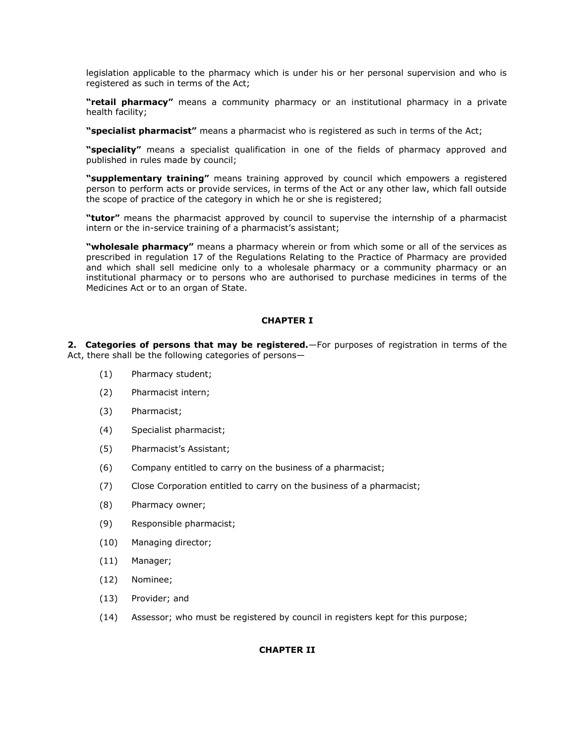legislation applicable to the pharmacy which is under his or her personal supervision and who is registered as such in terms of the Act;

**"retail pharmacy"** means a community pharmacy or an institutional pharmacy in a private health facility;

**"specialist pharmacist"** means a pharmacist who is registered as such in terms of the Act;

**"speciality"** means a specialist qualification in one of the fields of pharmacy approved and published in rules made by council;

**"supplementary training"** means training approved by council which empowers a registered person to perform acts or provide services, in terms of the Act or any other law, which fall outside the scope of practice of the category in which he or she is registered;

**"tutor"** means the pharmacist approved by council to supervise the internship of a pharmacist intern or the in-service training of a pharmacist's assistant;

**"wholesale pharmacy"** means a pharmacy wherein or from which some or all of the services as prescribed in [regulation 17](http://www.mylexisnexis.co.za/nxt/gateway.dll/jilc/kilc/xjsg/zmsg/cnsg/6ok2a/lsk2a/2sk2a#3g1) of the Regulations Relating to the Practice of Pharmacy are provided and which shall sell medicine only to a wholesale pharmacy or a community pharmacy or an institutional pharmacy or to persons who are authorised to purchase medicines in terms of the Medicines Act or to an organ of State.

# **CHAPTER I**

**2. Categories of persons that may be registered.**—For purposes of registration in terms of the Act, there shall be the following categories of persons—

- (1) Pharmacy student;
- (2) Pharmacist intern;
- (3) Pharmacist;
- (4) Specialist pharmacist;
- (5) Pharmacist's Assistant;
- (6) Company entitled to carry on the business of a pharmacist;
- (7) Close Corporation entitled to carry on the business of a pharmacist;
- (8) Pharmacy owner;
- (9) Responsible pharmacist;
- (10) Managing director;
- (11) Manager;
- (12) Nominee;
- (13) Provider; and
- (14) Assessor; who must be registered by council in registers kept for this purpose;

# **CHAPTER II**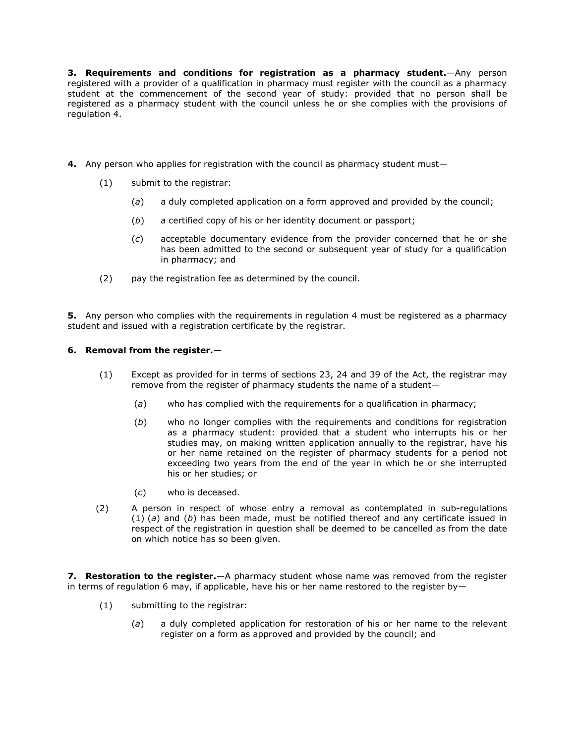**3. Requirements and conditions for registration as a pharmacy student.**—Any person registered with a provider of a qualification in pharmacy must register with the council as a pharmacy student at the commencement of the second year of study: provided that no person shall be registered as a pharmacy student with the council unless he or she complies with the provisions of regulation 4.

- **4.** Any person who applies for registration with the council as pharmacy student must—
	- (1) submit to the registrar:
		- (*a*) a duly completed application on a form approved and provided by the council;
		- (*b*) a certified copy of his or her identity document or passport;
		- (*c*) acceptable documentary evidence from the provider concerned that he or she has been admitted to the second or subsequent year of study for a qualification in pharmacy; and
	- (2) pay the registration fee as determined by the council.

**5.** Any person who complies with the requirements in requlation 4 must be registered as a pharmacy student and issued with a registration certificate by the registrar.

# **6. Removal from the register.**—

- (1) Except as provided for in terms of [sections 23,](http://www.mylexisnexis.co.za/nxt/gateway.dll/jilc/kilc/xjsg/zmsg/0msg/s24h#0) [24](http://www.mylexisnexis.co.za/nxt/gateway.dll/jilc/kilc/xjsg/zmsg/0msg/u24h#0) and [39](http://www.mylexisnexis.co.za/nxt/gateway.dll/jilc/kilc/xjsg/zmsg/0msg/s34h#0) of the Act, the registrar may remove from the register of pharmacy students the name of a student—
	- (*a*) who has complied with the requirements for a qualification in pharmacy;
	- (*b*) who no longer complies with the requirements and conditions for registration as a pharmacy student: provided that a student who interrupts his or her studies may, on making written application annually to the registrar, have his or her name retained on the register of pharmacy students for a period not exceeding two years from the end of the year in which he or she interrupted his or her studies; or
	- (*c*) who is deceased.
- (2) A person in respect of whose entry a removal as contemplated in [sub-regulations](http://www.mylexisnexis.co.za/nxt/gateway.dll/jilc/kilc/xjsg/zmsg/cnsg/6ok2a/lsk2a/rsk2a?f=templates$fn=document-frame.htm$3.0$q=$x=$nc=5926#3ek)  [\(1\)](http://www.mylexisnexis.co.za/nxt/gateway.dll/jilc/kilc/xjsg/zmsg/cnsg/6ok2a/lsk2a/rsk2a?f=templates$fn=document-frame.htm$3.0$q=$x=$nc=5926#3ek) (*a*) and [\(](http://www.mylexisnexis.co.za/nxt/gateway.dll/jilc/kilc/xjsg/zmsg/cnsg/6ok2a/lsk2a/rsk2a?f=templates$fn=document-frame.htm$3.0$q=$x=$nc=5926#3el)*b*) has been made, must be notified thereof and any certificate issued in respect of the registration in question shall be deemed to be cancelled as from the date on which notice has so been given.

**7. Restoration to the register.**—A pharmacy student whose name was removed from the register in terms of [regulation 6](http://www.mylexisnexis.co.za/nxt/gateway.dll/jilc/kilc/xjsg/zmsg/cnsg/6ok2a/lsk2a/rsk2a#3ei) may, if applicable, have his or her name restored to the register by-

- (1) submitting to the registrar:
	- (*a*) a duly completed application for restoration of his or her name to the relevant register on a form as approved and provided by the council; and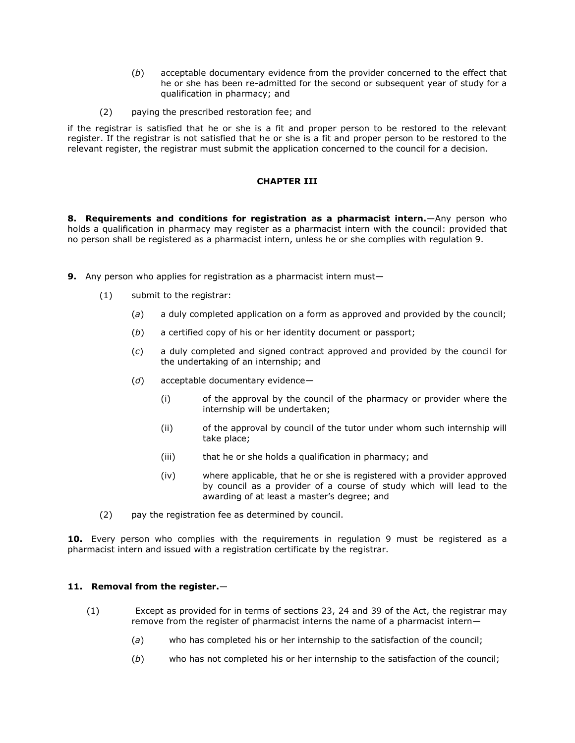- (*b*) acceptable documentary evidence from the provider concerned to the effect that he or she has been re-admitted for the second or subsequent year of study for a qualification in pharmacy; and
- (2) paying the prescribed restoration fee; and

if the registrar is satisfied that he or she is a fit and proper person to be restored to the relevant register. If the registrar is not satisfied that he or she is a fit and proper person to be restored to the relevant register, the registrar must submit the application concerned to the council for a decision.

# **CHAPTER III**

**8. Requirements and conditions for registration as a pharmacist intern.**—Any person who holds a qualification in pharmacy may register as a pharmacist intern with the council: provided that no person shall be registered as a pharmacist intern, unless he or she complies with [regulation 9.](http://www.mylexisnexis.co.za/nxt/gateway.dll/jilc/kilc/xjsg/zmsg/cnsg/6ok2a/lsk2a/usk2a#3eu)

- **9.** Any person who applies for registration as a pharmacist intern must—
	- (1) submit to the registrar:
		- (*a*) a duly completed application on a form as approved and provided by the council;
		- (*b*) a certified copy of his or her identity document or passport;
		- (*c*) a duly completed and signed contract approved and provided by the council for the undertaking of an internship; and
		- (*d*) acceptable documentary evidence—
			- (i) of the approval by the council of the pharmacy or provider where the internship will be undertaken;
			- (ii) of the approval by council of the tutor under whom such internship will take place;
			- (iii) that he or she holds a qualification in pharmacy; and
			- (iv) where applicable, that he or she is registered with a provider approved by council as a provider of a course of study which will lead to the awarding of at least a master's degree; and
	- (2) pay the registration fee as determined by council.

**10.** Every person who complies with the requirements in [regulation 9](http://www.mylexisnexis.co.za/nxt/gateway.dll/jilc/kilc/xjsg/zmsg/cnsg/6ok2a/lsk2a/usk2a#3eu) must be registered as a pharmacist intern and issued with a registration certificate by the registrar.

# **11. Removal from the register.**—

- (1) Except as provided for in terms of [sections 23,](http://www.mylexisnexis.co.za/nxt/gateway.dll/jilc/kilc/xjsg/zmsg/0msg/s24h#0) [24](http://www.mylexisnexis.co.za/nxt/gateway.dll/jilc/kilc/xjsg/zmsg/0msg/u24h#0) and [39](http://www.mylexisnexis.co.za/nxt/gateway.dll/jilc/kilc/xjsg/zmsg/0msg/s34h#0) of the Act, the registrar may remove from the register of pharmacist interns the name of a pharmacist intern—
	- (*a*) who has completed his or her internship to the satisfaction of the council;
	- (*b*) who has not completed his or her internship to the satisfaction of the council;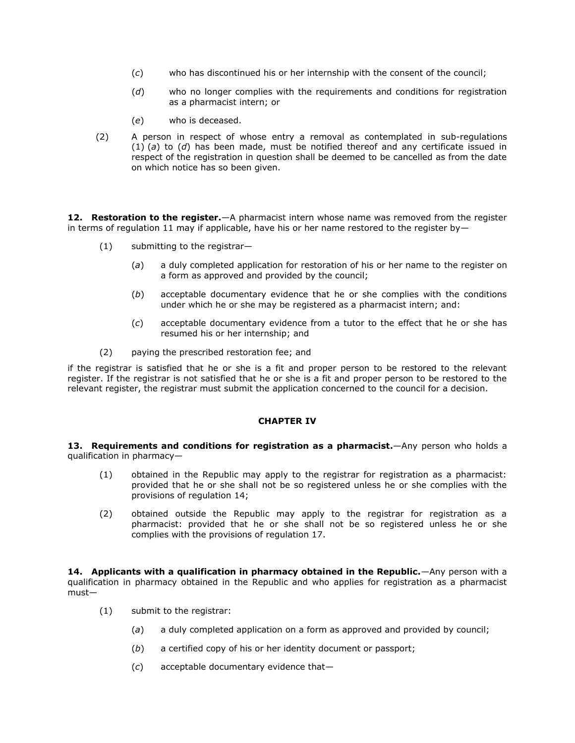- (*c*) who has discontinued his or her internship with the consent of the council;
- (*d*) who no longer complies with the requirements and conditions for registration as a pharmacist intern; or
- (*e*) who is deceased.
- (2) A person in respect of whose entry a removal as contemplated in [sub-regulations](http://www.mylexisnexis.co.za/nxt/gateway.dll/jilc/kilc/xjsg/zmsg/cnsg/6ok2a/lsk2a/wsk2a?f=templates$fn=document-frame.htm$3.0$q=$x=$nc=1750#3f8)  [\(1\)](http://www.mylexisnexis.co.za/nxt/gateway.dll/jilc/kilc/xjsg/zmsg/cnsg/6ok2a/lsk2a/wsk2a?f=templates$fn=document-frame.htm$3.0$q=$x=$nc=1750#3f8) (*a*) to [\(](http://www.mylexisnexis.co.za/nxt/gateway.dll/jilc/kilc/xjsg/zmsg/cnsg/6ok2a/lsk2a/wsk2a?f=templates$fn=document-frame.htm$3.0$q=$x=$nc=1750#3fb)*d*) has been made, must be notified thereof and any certificate issued in respect of the registration in question shall be deemed to be cancelled as from the date on which notice has so been given.

12. Restoration to the register.—A pharmacist intern whose name was removed from the register in terms of [regulation 11](http://www.mylexisnexis.co.za/nxt/gateway.dll/jilc/kilc/xjsg/zmsg/cnsg/6ok2a/lsk2a/wsk2a#3f6) may if applicable, have his or her name restored to the register by-

- (1) submitting to the registrar—
	- (*a*) a duly completed application for restoration of his or her name to the register on a form as approved and provided by the council;
	- (*b*) acceptable documentary evidence that he or she complies with the conditions under which he or she may be registered as a pharmacist intern; and:
	- (*c*) acceptable documentary evidence from a tutor to the effect that he or she has resumed his or her internship; and
- (2) paying the prescribed restoration fee; and

if the registrar is satisfied that he or she is a fit and proper person to be restored to the relevant register. If the registrar is not satisfied that he or she is a fit and proper person to be restored to the relevant register, the registrar must submit the application concerned to the council for a decision.

### **CHAPTER IV**

**13. Requirements and conditions for registration as a pharmacist.**—Any person who holds a qualification in pharmacy—

- (1) obtained in the Republic may apply to the registrar for registration as a pharmacist: provided that he or she shall not be so registered unless he or she complies with the provisions of [regulation 14;](http://www.mylexisnexis.co.za/nxt/gateway.dll/jilc/kilc/xjsg/zmsg/cnsg/6ok2a/lsk2a/zsk2a#3fn)
- (2) obtained outside the Republic may apply to the registrar for registration as a pharmacist: provided that he or she shall not be so registered unless he or she complies with the provisions of [regulation 17.](http://www.mylexisnexis.co.za/nxt/gateway.dll/jilc/kilc/xjsg/zmsg/cnsg/6ok2a/lsk2a/2sk2a#3g1)

**14. Applicants with a qualification in pharmacy obtained in the Republic.**—Any person with a qualification in pharmacy obtained in the Republic and who applies for registration as a pharmacist must—

- (1) submit to the registrar:
	- (*a*) a duly completed application on a form as approved and provided by council;
	- (*b*) a certified copy of his or her identity document or passport;
	- (*c*) acceptable documentary evidence that—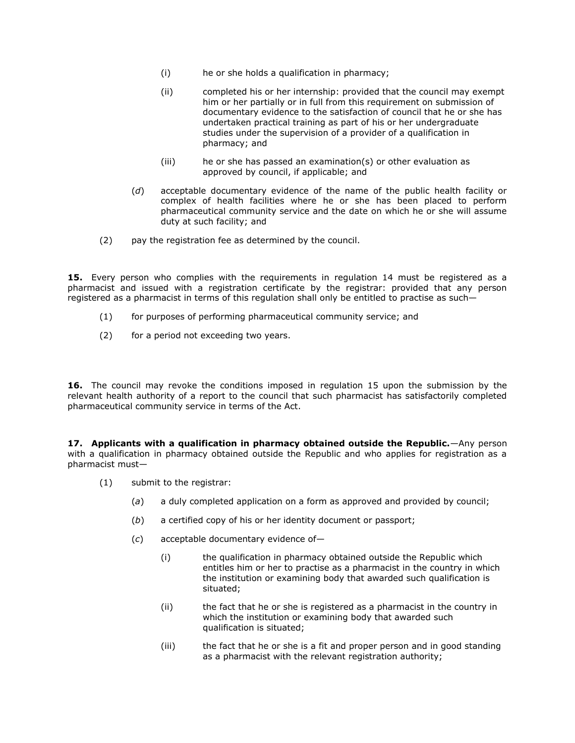- (i) he or she holds a qualification in pharmacy;
- (ii) completed his or her internship: provided that the council may exempt him or her partially or in full from this requirement on submission of documentary evidence to the satisfaction of council that he or she has undertaken practical training as part of his or her undergraduate studies under the supervision of a provider of a qualification in pharmacy; and
- $(iii)$  he or she has passed an examination(s) or other evaluation as approved by council, if applicable; and
- (*d*) acceptable documentary evidence of the name of the public health facility or complex of health facilities where he or she has been placed to perform pharmaceutical community service and the date on which he or she will assume duty at such facility; and
- (2) pay the registration fee as determined by the council.

**15.** Every person who complies with the requirements in [regulation 14](http://www.mylexisnexis.co.za/nxt/gateway.dll/jilc/kilc/xjsg/zmsg/cnsg/6ok2a/lsk2a/zsk2a#3fn) must be registered as a pharmacist and issued with a registration certificate by the registrar: provided that any person registered as a pharmacist in terms of this regulation shall only be entitled to practise as such—

- (1) for purposes of performing pharmaceutical community service; and
- (2) for a period not exceeding two years.

**16.** The council may revoke the conditions imposed in [regulation 15](http://www.mylexisnexis.co.za/nxt/gateway.dll/jilc/kilc/xjsg/zmsg/cnsg/6ok2a/lsk2a/0sk2a#3fx) upon the submission by the relevant health authority of a report to the council that such pharmacist has satisfactorily completed pharmaceutical community service in terms of the Act.

**17. Applicants with a qualification in pharmacy obtained outside the Republic.**—Any person with a qualification in pharmacy obtained outside the Republic and who applies for registration as a pharmacist must—

- (1) submit to the registrar:
	- (*a*) a duly completed application on a form as approved and provided by council;
	- (*b*) a certified copy of his or her identity document or passport;
	- (*c*) acceptable documentary evidence of—
		- (i) the qualification in pharmacy obtained outside the Republic which entitles him or her to practise as a pharmacist in the country in which the institution or examining body that awarded such qualification is situated;
		- (ii) the fact that he or she is registered as a pharmacist in the country in which the institution or examining body that awarded such qualification is situated;
		- (iii) the fact that he or she is a fit and proper person and in good standing as a pharmacist with the relevant registration authority;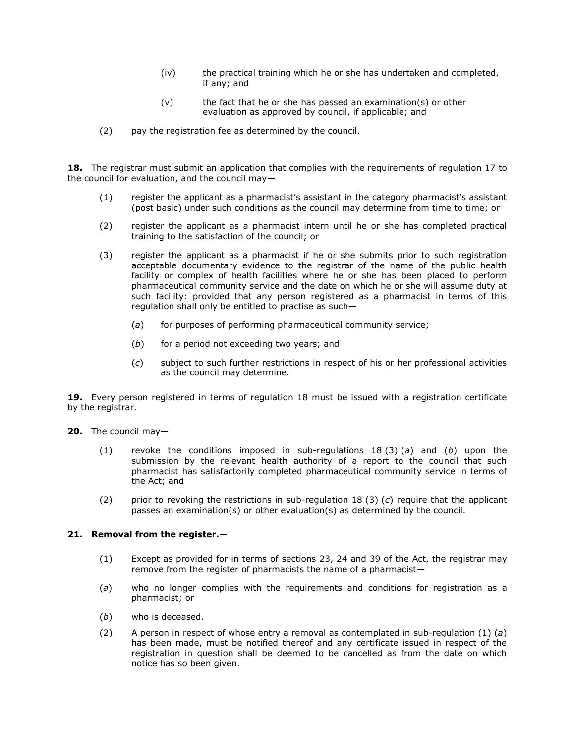- (iv) the practical training which he or she has undertaken and completed, if any; and
- $(v)$  the fact that he or she has passed an examination(s) or other evaluation as approved by council, if applicable; and
- (2) pay the registration fee as determined by the council.

**18.** The registrar must submit an application that complies with the requirements of [regulation 17](http://www.mylexisnexis.co.za/nxt/gateway.dll/jilc/kilc/xjsg/zmsg/cnsg/6ok2a/lsk2a/2sk2a#3g1) to the council for evaluation, and the council may—

- (1) register the applicant as a pharmacist's assistant in the category pharmacist's assistant (post basic) under such conditions as the council may determine from time to time; or
- (2) register the applicant as a pharmacist intern until he or she has completed practical training to the satisfaction of the council; or
- (3) register the applicant as a pharmacist if he or she submits prior to such registration acceptable documentary evidence to the registrar of the name of the public health facility or complex of health facilities where he or she has been placed to perform pharmaceutical community service and the date on which he or she will assume duty at such facility: provided that any person registered as a pharmacist in terms of this regulation shall only be entitled to practise as such—
	- (*a*) for purposes of performing pharmaceutical community service;
	- (*b*) for a period not exceeding two years; and
	- (*c*) subject to such further restrictions in respect of his or her professional activities as the council may determine.

**19.** Every person registered in terms of [regulation 18](http://www.mylexisnexis.co.za/nxt/gateway.dll/jilc/kilc/xjsg/zmsg/cnsg/6ok2a/lsk2a/3sk2a#3gc) must be issued with a registration certificate by the registrar.

**20.** The council may—

- (1) revoke the conditions imposed in [sub-regulations 18](http://www.mylexisnexis.co.za/nxt/gateway.dll/jilc/kilc/xjsg/zmsg/cnsg/6ok2a/lsk2a/3sk2a#3gg) (3) (*a*) and [\(](http://www.mylexisnexis.co.za/nxt/gateway.dll/jilc/kilc/xjsg/zmsg/cnsg/6ok2a/lsk2a/3sk2a#3gh)*b*) upon the submission by the relevant health authority of a report to the council that such pharmacist has satisfactorily completed pharmaceutical community service in terms of the Act; and
- (2) prior to revoking the restrictions in [sub-regulation 18](http://www.mylexisnexis.co.za/nxt/gateway.dll/jilc/kilc/xjsg/zmsg/cnsg/6ok2a/lsk2a/3sk2a#3gi) (3) (*c*) require that the applicant passes an examination(s) or other evaluation(s) as determined by the council.

# **21. Removal from the register.**—

- (1) Except as provided for in terms of [sections 23,](http://www.mylexisnexis.co.za/nxt/gateway.dll/jilc/kilc/xjsg/zmsg/0msg/s24h#0) [24](http://www.mylexisnexis.co.za/nxt/gateway.dll/jilc/kilc/xjsg/zmsg/0msg/u24h#0) and [39](http://www.mylexisnexis.co.za/nxt/gateway.dll/jilc/kilc/xjsg/zmsg/0msg/s34h#0) of the Act, the registrar may remove from the register of pharmacists the name of a pharmacist—
- (*a*) who no longer complies with the requirements and conditions for registration as a pharmacist; or
- (*b*) who is deceased.
- (2) A person in respect of whose entry a removal as contemplated in [sub-regulation \(1\)](http://www.mylexisnexis.co.za/nxt/gateway.dll/jilc/kilc/xjsg/zmsg/cnsg/6ok2a/lsk2a/6sk2a?f=templates$fn=document-frame.htm$3.0$q=$x=$nc=3667#3gp) (*a*) has been made, must be notified thereof and any certificate issued in respect of the registration in question shall be deemed to be cancelled as from the date on which notice has so been given.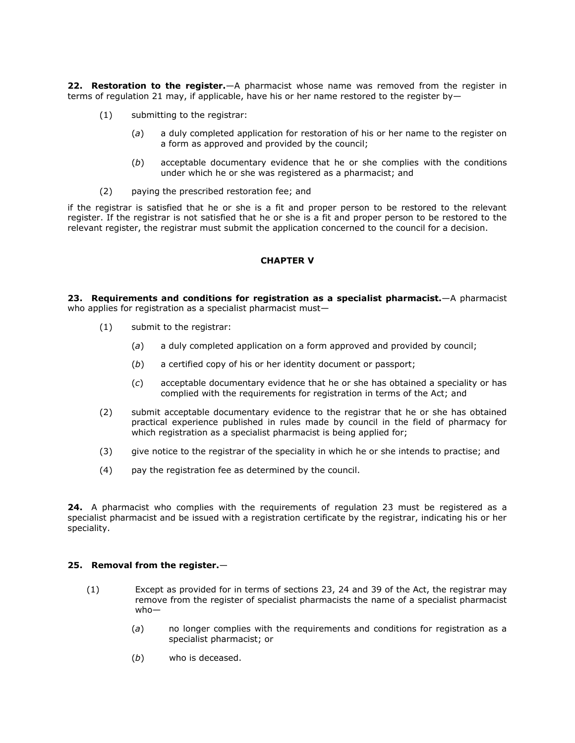**22. Restoration to the register.**—A pharmacist whose name was removed from the register in terms of regulation 21 may, if applicable, have his or her name restored to the register by—

- (1) submitting to the registrar:
	- (*a*) a duly completed application for restoration of his or her name to the register on a form as approved and provided by the council;
	- (*b*) acceptable documentary evidence that he or she complies with the conditions under which he or she was registered as a pharmacist; and
- (2) paying the prescribed restoration fee; and

if the registrar is satisfied that he or she is a fit and proper person to be restored to the relevant register. If the registrar is not satisfied that he or she is a fit and proper person to be restored to the relevant register, the registrar must submit the application concerned to the council for a decision.

# **CHAPTER V**

**23. Requirements and conditions for registration as a specialist pharmacist.**—A pharmacist who applies for registration as a specialist pharmacist must—

- (1) submit to the registrar:
	- (*a*) a duly completed application on a form approved and provided by council;
	- (*b*) a certified copy of his or her identity document or passport;
	- (*c*) acceptable documentary evidence that he or she has obtained a speciality or has complied with the requirements for registration in terms of the Act; and
- (2) submit acceptable documentary evidence to the registrar that he or she has obtained practical experience published in rules made by council in the field of pharmacy for which registration as a specialist pharmacist is being applied for;
- (3) give notice to the registrar of the speciality in which he or she intends to practise; and
- (4) pay the registration fee as determined by the council.

**24.** A pharmacist who complies with the requirements of [regulation 23](http://www.mylexisnexis.co.za/nxt/gateway.dll/jilc/kilc/xjsg/zmsg/cnsg/6ok2a/lsk2a/8sk2a#3gx) must be registered as a specialist pharmacist and be issued with a registration certificate by the registrar, indicating his or her speciality.

# **25. Removal from the register.**—

- (1) Except as provided for in terms of [sections 23,](http://www.mylexisnexis.co.za/nxt/gateway.dll/jilc/kilc/xjsg/zmsg/0msg/s24h#0) [24](http://www.mylexisnexis.co.za/nxt/gateway.dll/jilc/kilc/xjsg/zmsg/0msg/u24h#0) and [39](http://www.mylexisnexis.co.za/nxt/gateway.dll/jilc/kilc/xjsg/zmsg/0msg/s34h#0) of the Act, the registrar may remove from the register of specialist pharmacists the name of a specialist pharmacist who—
	- (*a*) no longer complies with the requirements and conditions for registration as a specialist pharmacist; or
	- (*b*) who is deceased.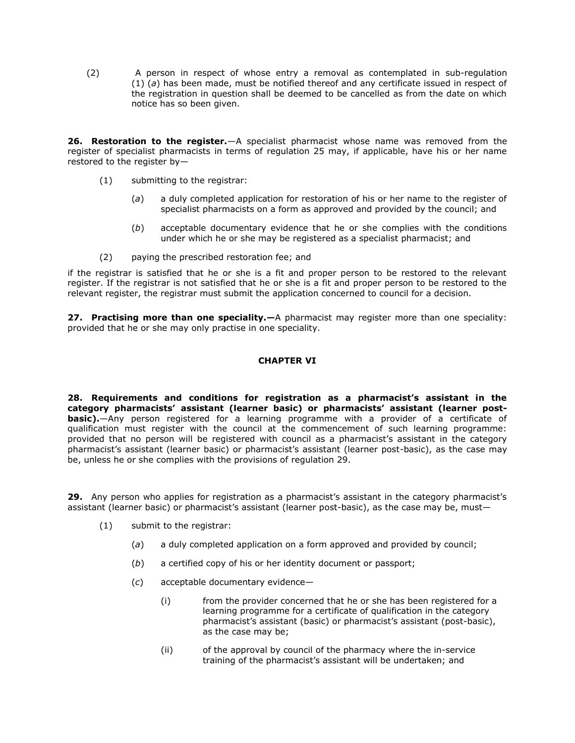(2) A person in respect of whose entry a removal as contemplated in [sub-regulation](http://www.mylexisnexis.co.za/nxt/gateway.dll/jilc/kilc/xjsg/zmsg/cnsg/6ok2a/lsk2a/atk2a?f=templates$fn=document-frame.htm$3.0$q=$x=$nc=3369#3h8)  [\(1\)](http://www.mylexisnexis.co.za/nxt/gateway.dll/jilc/kilc/xjsg/zmsg/cnsg/6ok2a/lsk2a/atk2a?f=templates$fn=document-frame.htm$3.0$q=$x=$nc=3369#3h8) (*a*) has been made, must be notified thereof and any certificate issued in respect of the registration in question shall be deemed to be cancelled as from the date on which notice has so been given.

**26. Restoration to the register.**—A specialist pharmacist whose name was removed from the register of specialist pharmacists in terms of [regulation 25](http://www.mylexisnexis.co.za/nxt/gateway.dll/jilc/kilc/xjsg/zmsg/cnsg/6ok2a/lsk2a/atk2a#3h6) may, if applicable, have his or her name restored to the register by—

- (1) submitting to the registrar:
	- (*a*) a duly completed application for restoration of his or her name to the register of specialist pharmacists on a form as approved and provided by the council; and
	- (*b*) acceptable documentary evidence that he or she complies with the conditions under which he or she may be registered as a specialist pharmacist; and
- (2) paying the prescribed restoration fee; and

if the registrar is satisfied that he or she is a fit and proper person to be restored to the relevant register. If the registrar is not satisfied that he or she is a fit and proper person to be restored to the relevant register, the registrar must submit the application concerned to council for a decision.

**27. Practising more than one speciality.—**A pharmacist may register more than one speciality: provided that he or she may only practise in one speciality.

# **CHAPTER VI**

**28. Requirements and conditions for registration as a pharmacist's assistant in the category pharmacists' assistant (learner basic) or pharmacists' assistant (learner postbasic).**—Any person registered for a learning programme with a provider of a certificate of qualification must register with the council at the commencement of such learning programme: provided that no person will be registered with council as a pharmacist's assistant in the category pharmacist's assistant (learner basic) or pharmacist's assistant (learner post-basic), as the case may be, unless he or she complies with the provisions of [regulation 29.](http://www.mylexisnexis.co.za/nxt/gateway.dll/jilc/kilc/xjsg/zmsg/cnsg/6ok2a/lsk2a/etk2a#3hi)

**29.** Any person who applies for registration as a pharmacist's assistant in the category pharmacist's assistant (learner basic) or pharmacist's assistant (learner post-basic), as the case may be, must—

- (1) submit to the registrar:
	- (*a*) a duly completed application on a form approved and provided by council;
	- (*b*) a certified copy of his or her identity document or passport;
	- (*c*) acceptable documentary evidence—
		- (i) from the provider concerned that he or she has been registered for a learning programme for a certificate of qualification in the category pharmacist's assistant (basic) or pharmacist's assistant (post-basic), as the case may be;
		- (ii) of the approval by council of the pharmacy where the in-service training of the pharmacist's assistant will be undertaken; and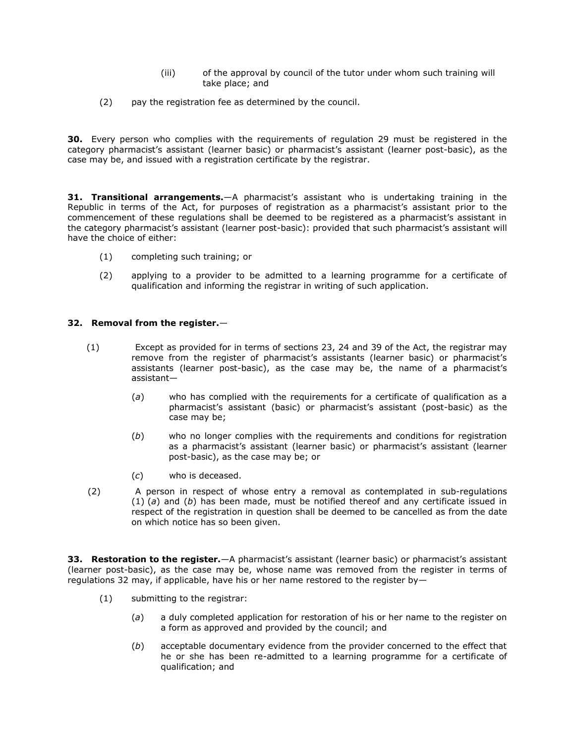- (iii) of the approval by council of the tutor under whom such training will take place; and
- (2) pay the registration fee as determined by the council.

**30.** Every person who complies with the requirements of [regulation 29](http://www.mylexisnexis.co.za/nxt/gateway.dll/jilc/kilc/xjsg/zmsg/cnsg/6ok2a/lsk2a/etk2a#3hi) must be registered in the category pharmacist's assistant (learner basic) or pharmacist's assistant (learner post-basic), as the case may be, and issued with a registration certificate by the registrar.

**31. Transitional arrangements.**—A pharmacist's assistant who is undertaking training in the Republic in terms of the Act, for purposes of registration as a pharmacist's assistant prior to the commencement of these regulations shall be deemed to be registered as a pharmacist's assistant in the category pharmacist's assistant (learner post-basic): provided that such pharmacist's assistant will have the choice of either:

- (1) completing such training; or
- (2) applying to a provider to be admitted to a learning programme for a certificate of qualification and informing the registrar in writing of such application.

# **32. Removal from the register.**—

- (1) Except as provided for in terms of [sections 23,](http://www.mylexisnexis.co.za/nxt/gateway.dll/jilc/kilc/xjsg/zmsg/0msg/s24h#0) [24](http://www.mylexisnexis.co.za/nxt/gateway.dll/jilc/kilc/xjsg/zmsg/0msg/u24h#0) and [39](http://www.mylexisnexis.co.za/nxt/gateway.dll/jilc/kilc/xjsg/zmsg/0msg/s34h#0) of the Act, the registrar may remove from the register of pharmacist's assistants (learner basic) or pharmacist's assistants (learner post-basic), as the case may be, the name of a pharmacist's assistant—
	- (*a*) who has complied with the requirements for a certificate of qualification as a pharmacist's assistant (basic) or pharmacist's assistant (post-basic) as the case may be;
	- (*b*) who no longer complies with the requirements and conditions for registration as a pharmacist's assistant (learner basic) or pharmacist's assistant (learner post-basic), as the case may be; or
	- (*c*) who is deceased.
- (2) A person in respect of whose entry a removal as contemplated in [sub-regulations](http://www.mylexisnexis.co.za/nxt/gateway.dll/jilc/kilc/xjsg/zmsg/cnsg/6ok2a/lsk2a/htk2a?f=templates$fn=document-frame.htm$3.0$q=$x=$nc=6509#3hx)  [\(1\)](http://www.mylexisnexis.co.za/nxt/gateway.dll/jilc/kilc/xjsg/zmsg/cnsg/6ok2a/lsk2a/htk2a?f=templates$fn=document-frame.htm$3.0$q=$x=$nc=6509#3hx) (*a*) and [\(](http://www.mylexisnexis.co.za/nxt/gateway.dll/jilc/kilc/xjsg/zmsg/cnsg/6ok2a/lsk2a/htk2a?f=templates$fn=document-frame.htm$3.0$q=$x=$nc=6509#3hy)*b*) has been made, must be notified thereof and any certificate issued in respect of the registration in question shall be deemed to be cancelled as from the date on which notice has so been given.

**33. Restoration to the register.**—A pharmacist's assistant (learner basic) or pharmacist's assistant (learner post-basic), as the case may be, whose name was removed from the register in terms of [regulations 32](http://www.mylexisnexis.co.za/nxt/gateway.dll/jilc/kilc/xjsg/zmsg/cnsg/6ok2a/lsk2a/htk2a#3hv) may, if applicable, have his or her name restored to the register by—

- (1) submitting to the registrar:
	- (*a*) a duly completed application for restoration of his or her name to the register on a form as approved and provided by the council; and
	- (*b*) acceptable documentary evidence from the provider concerned to the effect that he or she has been re-admitted to a learning programme for a certificate of qualification; and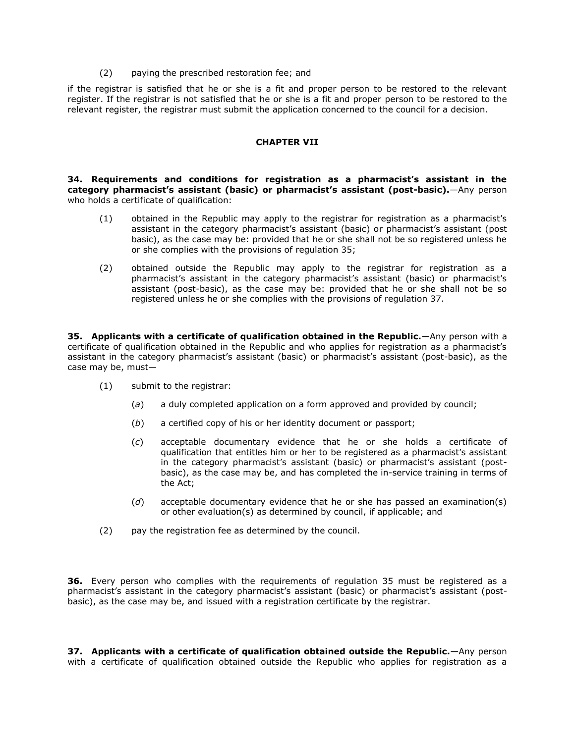(2) paying the prescribed restoration fee; and

if the registrar is satisfied that he or she is a fit and proper person to be restored to the relevant register. If the registrar is not satisfied that he or she is a fit and proper person to be restored to the relevant register, the registrar must submit the application concerned to the council for a decision.

### **CHAPTER VII**

**34. Requirements and conditions for registration as a pharmacist's assistant in the category pharmacist's assistant (basic) or pharmacist's assistant (post-basic).**—Any person who holds a certificate of qualification:

- (1) obtained in the Republic may apply to the registrar for registration as a pharmacist's assistant in the category pharmacist's assistant (basic) or pharmacist's assistant (post basic), as the case may be: provided that he or she shall not be so registered unless he or she complies with the provisions of [regulation 35;](http://www.mylexisnexis.co.za/nxt/gateway.dll/jilc/kilc/xjsg/zmsg/cnsg/6ok2a/lsk2a/ktk2a#3i9)
- (2) obtained outside the Republic may apply to the registrar for registration as a pharmacist's assistant in the category pharmacist's assistant (basic) or pharmacist's assistant (post-basic), as the case may be: provided that he or she shall not be so registered unless he or she complies with the provisions of [regulation 37.](http://www.mylexisnexis.co.za/nxt/gateway.dll/jilc/kilc/xjsg/zmsg/cnsg/6ok2a/lsk2a/mtk2a#3ih)

**35. Applicants with a certificate of qualification obtained in the Republic.**—Any person with a certificate of qualification obtained in the Republic and who applies for registration as a pharmacist's assistant in the category pharmacist's assistant (basic) or pharmacist's assistant (post-basic), as the case may be, must—

- (1) submit to the registrar:
	- (*a*) a duly completed application on a form approved and provided by council;
	- (*b*) a certified copy of his or her identity document or passport;
	- (*c*) acceptable documentary evidence that he or she holds a certificate of qualification that entitles him or her to be registered as a pharmacist's assistant in the category pharmacist's assistant (basic) or pharmacist's assistant (postbasic), as the case may be, and has completed the in-service training in terms of the Act;
	- (*d*) acceptable documentary evidence that he or she has passed an examination(s) or other evaluation(s) as determined by council, if applicable; and
- (2) pay the registration fee as determined by the council.

**36.** Every person who complies with the requirements of [regulation 35](http://www.mylexisnexis.co.za/nxt/gateway.dll/jilc/kilc/xjsg/zmsg/cnsg/6ok2a/lsk2a/ktk2a#3i9) must be registered as a pharmacist's assistant in the category pharmacist's assistant (basic) or pharmacist's assistant (postbasic), as the case may be, and issued with a registration certificate by the registrar.

**37. Applicants with a certificate of qualification obtained outside the Republic.**—Any person with a certificate of qualification obtained outside the Republic who applies for registration as a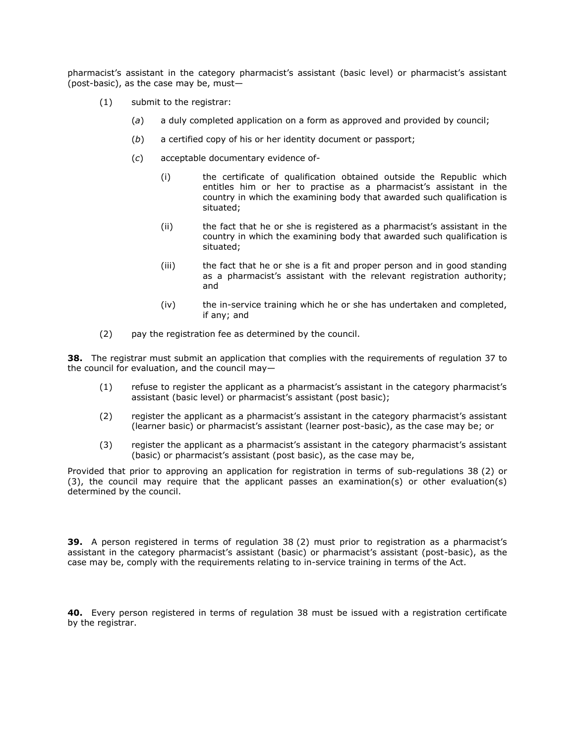pharmacist's assistant in the category pharmacist's assistant (basic level) or pharmacist's assistant (post-basic), as the case may be, must—

- (1) submit to the registrar:
	- (*a*) a duly completed application on a form as approved and provided by council;
	- (*b*) a certified copy of his or her identity document or passport;
	- (*c*) acceptable documentary evidence of-
		- (i) the certificate of qualification obtained outside the Republic which entitles him or her to practise as a pharmacist's assistant in the country in which the examining body that awarded such qualification is situated;
		- (ii) the fact that he or she is registered as a pharmacist's assistant in the country in which the examining body that awarded such qualification is situated;
		- (iii) the fact that he or she is a fit and proper person and in good standing as a pharmacist's assistant with the relevant registration authority; and
		- (iv) the in-service training which he or she has undertaken and completed, if any; and
- (2) pay the registration fee as determined by the council.

**38.** The registrar must submit an application that complies with the requirements of [regulation 37](http://www.mylexisnexis.co.za/nxt/gateway.dll/jilc/kilc/xjsg/zmsg/cnsg/6ok2a/lsk2a/mtk2a#3ih) to the council for evaluation, and the council may—

- (1) refuse to register the applicant as a pharmacist's assistant in the category pharmacist's assistant (basic level) or pharmacist's assistant (post basic);
- (2) register the applicant as a pharmacist's assistant in the category pharmacist's assistant (learner basic) or pharmacist's assistant (learner post-basic), as the case may be; or
- (3) register the applicant as a pharmacist's assistant in the category pharmacist's assistant (basic) or pharmacist's assistant (post basic), as the case may be,

Provided that prior to approving an application for registration in terms of [sub-regulations 38](http://www.mylexisnexis.co.za/nxt/gateway.dll/jilc/kilc/xjsg/zmsg/cnsg/6ok2a/lsk2a/ntk2a?f=templates$fn=document-frame.htm$3.0$q=$x=$nc=1525#3it) (2) or [\(3\),](http://www.mylexisnexis.co.za/nxt/gateway.dll/jilc/kilc/xjsg/zmsg/cnsg/6ok2a/lsk2a/ntk2a?f=templates$fn=document-frame.htm$3.0$q=$x=$nc=1525#3iu) the council may require that the applicant passes an examination(s) or other evaluation(s) determined by the council.

**39.** A person registered in terms of [regulation 38](http://www.mylexisnexis.co.za/nxt/gateway.dll/jilc/kilc/xjsg/zmsg/cnsg/6ok2a/lsk2a/ntk2a#3it) (2) must prior to registration as a pharmacist's assistant in the category pharmacist's assistant (basic) or pharmacist's assistant (post-basic), as the case may be, comply with the requirements relating to in-service training in terms of the Act.

**40.** Every person registered in terms of [regulation 38](http://www.mylexisnexis.co.za/nxt/gateway.dll/jilc/kilc/xjsg/zmsg/cnsg/6ok2a/lsk2a/ntk2a#3ir) must be issued with a registration certificate by the registrar.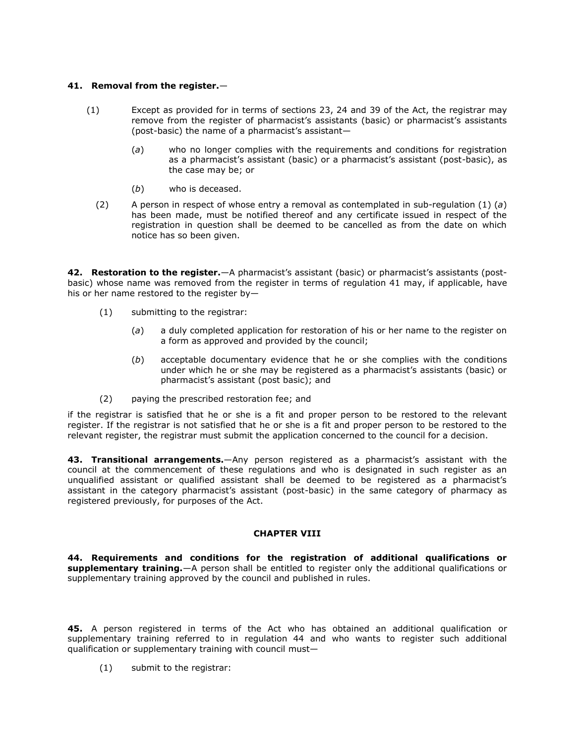### **41. Removal from the register.**—

- (1) Except as provided for in terms of [sections 23,](http://www.mylexisnexis.co.za/nxt/gateway.dll/jilc/kilc/xjsg/zmsg/0msg/s24h#0) [24](http://www.mylexisnexis.co.za/nxt/gateway.dll/jilc/kilc/xjsg/zmsg/0msg/u24h#0) and [39](http://www.mylexisnexis.co.za/nxt/gateway.dll/jilc/kilc/xjsg/zmsg/0msg/s34h#0) of the Act, the registrar may remove from the register of pharmacist's assistants (basic) or pharmacist's assistants (post-basic) the name of a pharmacist's assistant—
	- (*a*) who no longer complies with the requirements and conditions for registration as a pharmacist's assistant (basic) or a pharmacist's assistant (post-basic), as the case may be; or
	- (*b*) who is deceased.
	- (2) A person in respect of whose entry a removal as contemplated in [sub-regulation \(1\)](http://www.mylexisnexis.co.za/nxt/gateway.dll/jilc/kilc/xjsg/zmsg/cnsg/6ok2a/lsk2a/qtk2a?f=templates$fn=document-frame.htm$3.0$q=$x=$nc=6643#3iz) (*a*) has been made, must be notified thereof and any certificate issued in respect of the registration in question shall be deemed to be cancelled as from the date on which notice has so been given.

**42. Restoration to the register.**—A pharmacist's assistant (basic) or pharmacist's assistants (postbasic) whose name was removed from the register in terms of [regulation 41](http://www.mylexisnexis.co.za/nxt/gateway.dll/jilc/kilc/xjsg/zmsg/cnsg/6ok2a/lsk2a/qtk2a#3ix) may, if applicable, have his or her name restored to the register by—

- (1) submitting to the registrar:
	- (*a*) a duly completed application for restoration of his or her name to the register on a form as approved and provided by the council;
	- (*b*) acceptable documentary evidence that he or she complies with the conditions under which he or she may be registered as a pharmacist's assistants (basic) or pharmacist's assistant (post basic); and
- (2) paying the prescribed restoration fee; and

if the registrar is satisfied that he or she is a fit and proper person to be restored to the relevant register. If the registrar is not satisfied that he or she is a fit and proper person to be restored to the relevant register, the registrar must submit the application concerned to the council for a decision.

**43. Transitional arrangements.**—Any person registered as a pharmacist's assistant with the council at the commencement of these regulations and who is designated in such register as an unqualified assistant or qualified assistant shall be deemed to be registered as a pharmacist's assistant in the category pharmacist's assistant (post-basic) in the same category of pharmacy as registered previously, for purposes of the Act.

### **CHAPTER VIII**

**44. Requirements and conditions for the registration of additional qualifications or supplementary training.**—A person shall be entitled to register only the additional qualifications or supplementary training approved by the council and published in rules.

**45.** A person registered in terms of the Act who has obtained an additional qualification or supplementary training referred to in [regulation 44](http://www.mylexisnexis.co.za/nxt/gateway.dll/jilc/kilc/xjsg/zmsg/cnsg/6ok2a/lsk2a/ttk2a#3j8) and who wants to register such additional qualification or supplementary training with council must—

(1) submit to the registrar: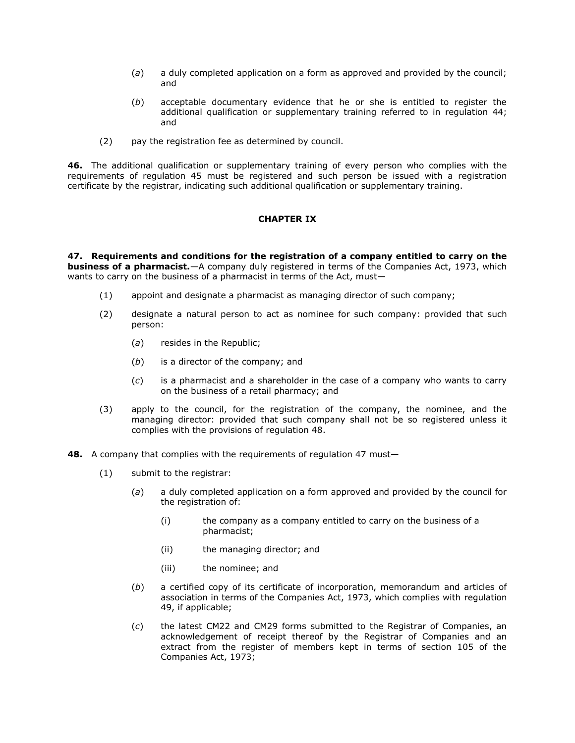- (*a*) a duly completed application on a form as approved and provided by the council; and
- (*b*) acceptable documentary evidence that he or she is entitled to register the additional qualification or supplementary training referred to in [regulation 44;](http://www.mylexisnexis.co.za/nxt/gateway.dll/jilc/kilc/xjsg/zmsg/cnsg/6ok2a/lsk2a/ttk2a#3j8) and
- (2) pay the registration fee as determined by council.

**46.** The additional qualification or supplementary training of every person who complies with the requirements of [regulation 45](http://www.mylexisnexis.co.za/nxt/gateway.dll/jilc/kilc/xjsg/zmsg/cnsg/6ok2a/lsk2a/utk2a#3j9) must be registered and such person be issued with a registration certificate by the registrar, indicating such additional qualification or supplementary training.

### **CHAPTER IX**

**47. Requirements and conditions for the registration of a company entitled to carry on the business of a pharmacist.**—A company duly registered in terms of the Companies Act, 1973, which wants to carry on the business of a pharmacist in terms of the Act, must—

- (1) appoint and designate a pharmacist as managing director of such company;
- (2) designate a natural person to act as nominee for such company: provided that such person:
	- (*a*) resides in the Republic;
	- (*b*) is a director of the company; and
	- (*c*) is a pharmacist and a shareholder in the case of a company who wants to carry on the business of a retail pharmacy; and
- (3) apply to the council, for the registration of the company, the nominee, and the managing director: provided that such company shall not be so registered unless it complies with the provisions of [regulation 48.](http://www.mylexisnexis.co.za/nxt/gateway.dll/jilc/kilc/xjsg/zmsg/cnsg/6ok2a/lsk2a/xtk2a#3jm)
- **48.** A company that complies with the requirements of [regulation 47](http://www.mylexisnexis.co.za/nxt/gateway.dll/jilc/kilc/xjsg/zmsg/cnsg/6ok2a/lsk2a/wtk2a#3jf) must—
	- (1) submit to the registrar:
		- (*a*) a duly completed application on a form approved and provided by the council for the registration of:
			- (i) the company as a company entitled to carry on the business of a pharmacist;
			- (ii) the managing director; and
			- (iii) the nominee; and
		- (*b*) a certified copy of its certificate of incorporation, memorandum and articles of association in terms of the Companies Act, 1973, which complies with [regulation](http://www.mylexisnexis.co.za/nxt/gateway.dll/jilc/kilc/xjsg/zmsg/cnsg/6ok2a/lsk2a/ytk2a#3jy)  [49,](http://www.mylexisnexis.co.za/nxt/gateway.dll/jilc/kilc/xjsg/zmsg/cnsg/6ok2a/lsk2a/ytk2a#3jy) if applicable;
		- (*c*) the latest CM22 and CM29 forms submitted to the Registrar of Companies, an acknowledgement of receipt thereof by the Registrar of Companies and an extract from the register of members kept in terms of section 105 of the Companies Act, 1973;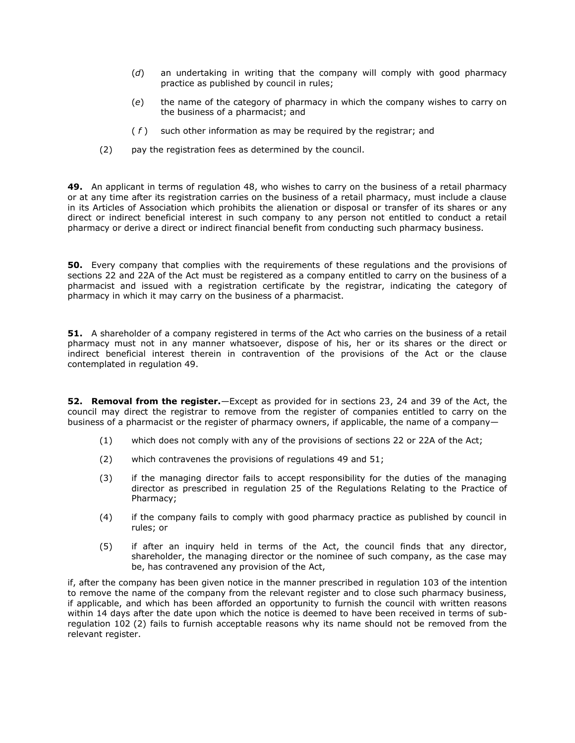- (*d*) an undertaking in writing that the company will comply with good pharmacy practice as published by council in rules;
- (*e*) the name of the category of pharmacy in which the company wishes to carry on the business of a pharmacist; and
- ( *f* ) such other information as may be required by the registrar; and
- (2) pay the registration fees as determined by the council.

**49.** An applicant in terms of [regulation 48,](http://www.mylexisnexis.co.za/nxt/gateway.dll/jilc/kilc/xjsg/zmsg/cnsg/6ok2a/lsk2a/xtk2a#3jm) who wishes to carry on the business of a retail pharmacy or at any time after its registration carries on the business of a retail pharmacy, must include a clause in its Articles of Association which prohibits the alienation or disposal or transfer of its shares or any direct or indirect beneficial interest in such company to any person not entitled to conduct a retail pharmacy or derive a direct or indirect financial benefit from conducting such pharmacy business.

**50.** Every company that complies with the requirements of these regulations and the provisions of [sections 22](http://www.mylexisnexis.co.za/nxt/gateway.dll/jilc/kilc/xjsg/zmsg/0msg/m24h#0) and [22A](http://www.mylexisnexis.co.za/nxt/gateway.dll/jilc/kilc/xjsg/zmsg/0msg/o24h#0) of the Act must be registered as a company entitled to carry on the business of a pharmacist and issued with a registration certificate by the registrar, indicating the category of pharmacy in which it may carry on the business of a pharmacist.

**51.** A shareholder of a company registered in terms of the Act who carries on the business of a retail pharmacy must not in any manner whatsoever, dispose of his, her or its shares or the direct or indirect beneficial interest therein in contravention of the provisions of the Act or the clause contemplated in [regulation 49.](http://www.mylexisnexis.co.za/nxt/gateway.dll/jilc/kilc/xjsg/zmsg/cnsg/6ok2a/lsk2a/ytk2a#3jy)

**52. Removal from the register.**—Except as provided for in [sections 23,](http://www.mylexisnexis.co.za/nxt/gateway.dll/jilc/kilc/xjsg/zmsg/0msg/s24h#0) [24](http://www.mylexisnexis.co.za/nxt/gateway.dll/jilc/kilc/xjsg/zmsg/0msg/u24h#0) and [39](http://www.mylexisnexis.co.za/nxt/gateway.dll/jilc/kilc/xjsg/zmsg/0msg/s34h#0) of the Act, the council may direct the registrar to remove from the register of companies entitled to carry on the business of a pharmacist or the register of pharmacy owners, if applicable, the name of a company—

- (1) which does not comply with any of the provisions of [sections 22](http://www.mylexisnexis.co.za/nxt/gateway.dll/jilc/kilc/xjsg/zmsg/0msg/m24h#0) or [22A](http://www.mylexisnexis.co.za/nxt/gateway.dll/jilc/kilc/xjsg/zmsg/0msg/o24h#0) of the Act;
- (2) which contravenes the provisions of [regulations 49](http://www.mylexisnexis.co.za/nxt/gateway.dll/jilc/kilc/xjsg/zmsg/cnsg/6ok2a/lsk2a/ytk2a#3jy) and [51;](http://www.mylexisnexis.co.za/nxt/gateway.dll/jilc/kilc/xjsg/zmsg/cnsg/6ok2a/lsk2a/0tk2a#3k0)
- (3) if the managing director fails to accept responsibility for the duties of the managing director as prescribed in [regulation 25](http://www.mylexisnexis.co.za/nxt/gateway.dll/jilc/kilc/xjsg/zmsg/cnsg/6ok2a/lsk2a/atk2a#3h6) of the Regulations Relating to the Practice of Pharmacy;
- (4) if the company fails to comply with good pharmacy practice as published by council in rules; or
- (5) if after an inquiry held in terms of the Act, the council finds that any director, shareholder, the managing director or the nominee of such company, as the case may be, has contravened any provision of the Act,

if, after the company has been given notice in the manner prescribed in [regulation 103](http://www.mylexisnexis.co.za/nxt/gateway.dll/jilc/kilc/xjsg/zmsg/cnsg/6ok2a/lsk2a/gvk2a#3ny) of the intention to remove the name of the company from the relevant register and to close such pharmacy business, if applicable, and which has been afforded an opportunity to furnish the council with written reasons within 14 days after the date upon which the notice is deemed to have been received in terms of [sub](http://www.mylexisnexis.co.za/nxt/gateway.dll/jilc/kilc/xjsg/zmsg/cnsg/6ok2a/lsk2a/fvk2a#3nt)[regulation 102](http://www.mylexisnexis.co.za/nxt/gateway.dll/jilc/kilc/xjsg/zmsg/cnsg/6ok2a/lsk2a/fvk2a#3nt) (2) fails to furnish acceptable reasons why its name should not be removed from the relevant register.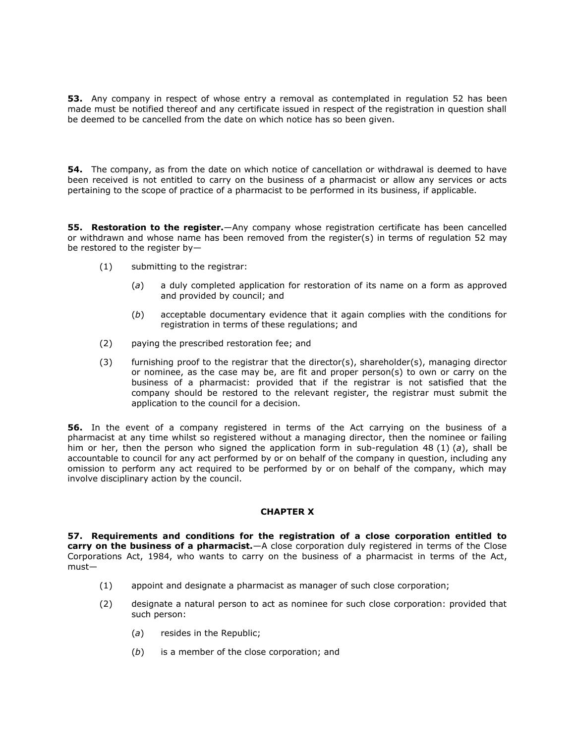**53.** Any company in respect of whose entry a removal as contemplated in regulation 52 has been made must be notified thereof and any certificate issued in respect of the regi[stration in ques](http://www.mylexisnexis.co.za/nxt/gateway.dll/jilc/kilc/xjsg/zmsg/cnsg/6ok2a/lsk2a/1tk2a#3k1)tion shall be deemed to be cancelled from the date on which notice has so been given.

**54.** The company, as from the date on which notice of cancellation or withdrawal is deemed to have been received is not entitled to carry on the business of a pharmacist or allow any services or acts pertaining to the scope of practice of a pharmacist to be performed in its business, if applicable.

**55. Restoration to the register.**—Any company whose registration certificate has been cancelled or withdrawn and whose name has been removed from the register(s) in terms of [regulation 52](http://www.mylexisnexis.co.za/nxt/gateway.dll/jilc/kilc/xjsg/zmsg/cnsg/6ok2a/lsk2a/1tk2a#3k1) may be restored to the register by—

- (1) submitting to the registrar:
	- (*a*) a duly completed application for restoration of its name on a form as approved and provided by council; and
	- (*b*) acceptable documentary evidence that it again complies with the conditions for registration in terms of these regulations; and
- (2) paying the prescribed restoration fee; and
- (3) furnishing proof to the registrar that the director(s), shareholder(s), managing director or nominee, as the case may be, are fit and proper person(s) to own or carry on the business of a pharmacist: provided that if the registrar is not satisfied that the company should be restored to the relevant register, the registrar must submit the application to the council for a decision.

**56.** In the event of a company registered in terms of the Act carrying on the business of a pharmacist at any time whilst so registered without a managing director, then the nominee or failing him or her, then the person who signed the application form in [sub-regulation 48](http://www.mylexisnexis.co.za/nxt/gateway.dll/jilc/kilc/xjsg/zmsg/cnsg/6ok2a/lsk2a/xtk2a#3jo) (1) (*a*), shall be accountable to council for any act performed by or on behalf of the company in question, including any omission to perform any act required to be performed by or on behalf of the company, which may involve disciplinary action by the council.

# **CHAPTER X**

**57. Requirements and conditions for the registration of a close corporation entitled to carry on the business of a pharmacist.**—A close corporation duly registered in terms of the Close Corporations Act, 1984, who wants to carry on the business of a pharmacist in terms of the Act, must—

- (1) appoint and designate a pharmacist as manager of such close corporation;
- (2) designate a natural person to act as nominee for such close corporation: provided that such person:
	- (*a*) resides in the Republic;
	- (*b*) is a member of the close corporation; and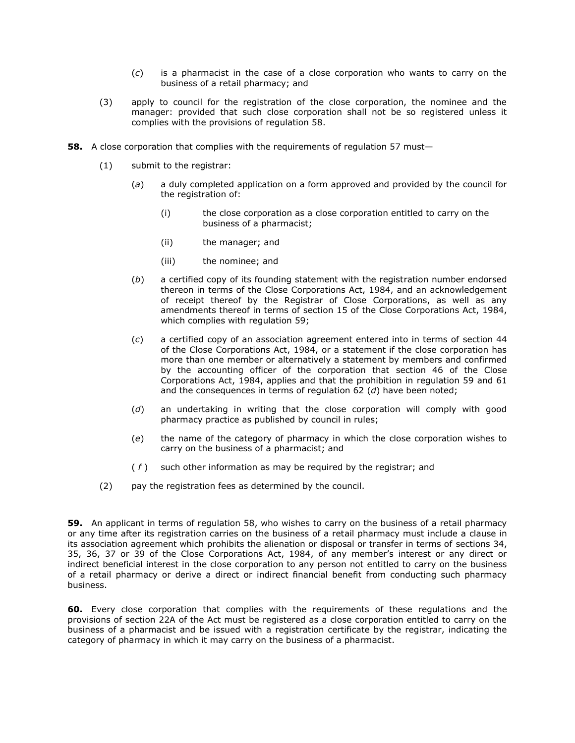- (*c*) is a pharmacist in the case of a close corporation who wants to carry on the business of a retail pharmacy; and
- (3) apply to council for the registration of the close corporation, the nominee and the manager: provided that such close corporation shall not be so registered unless it complies with the provisions of [regulation 58.](http://www.mylexisnexis.co.za/nxt/gateway.dll/jilc/kilc/xjsg/zmsg/cnsg/6ok2a/lsk2a/7tk2a#3kn)
- **58.** A close corporation that complies with the requirements of requlation 57 must-
	- (1) submit to the registrar:
		- (*a*) a duly completed application on a form approved and provided by the council for the registration of:
			- (i) the close corporation as a close corporation entitled to carry on the business of a pharmacist;
			- (ii) the manager; and
			- (iii) the nominee; and
		- (*b*) a certified copy of its founding statement with the registration number endorsed thereon in terms of the Close Corporations Act, 1984, and an acknowledgement of receipt thereof by the Registrar of Close Corporations, as well as any amendments thereof in terms of [section 15](http://www.mylexisnexis.co.za/nxt/gateway.dll/jilc/kilc/xjsg/zmsg/0msg/a24h#0) of the Close Corporations Act, 1984, which complies with [regulation 59;](http://www.mylexisnexis.co.za/nxt/gateway.dll/jilc/kilc/xjsg/zmsg/cnsg/6ok2a/lsk2a/8tk2a#3kz)
		- (*c*) a certified copy of an association agreement entered into in terms of [section 44](http://www.mylexisnexis.co.za/nxt/gateway.dll/jilc/kilc/xjsg/zmsg/0msg/234h#0) of the Close Corporations Act, 1984, or a statement if the close corporation has more than one member or alternatively a statement by members and confirmed by the accounting officer of the corporation that [section 46](http://www.mylexisnexis.co.za/nxt/gateway.dll/jilc/kilc/xjsg/zmsg/0msg/a44h#0) of the Close Corporations Act, 1984, applies and that the prohibition in [regulation 59](http://www.mylexisnexis.co.za/nxt/gateway.dll/jilc/kilc/xjsg/zmsg/cnsg/6ok2a/lsk2a/8tk2a#3kz) and [61](http://www.mylexisnexis.co.za/nxt/gateway.dll/jilc/kilc/xjsg/zmsg/cnsg/6ok2a/lsk2a/auk2a#3l1) and the consequences in terms of regulation 62 (*d*) have been noted;
		- (*d*) an undertaking in writing that the close corporation will comply with good pharmacy practice as published by council in rules;
		- (*e*) the name of the category of pharmacy in which the close corporation wishes to carry on the business of a pharmacist; and
		- ( *f* ) such other information as may be required by the registrar; and
	- (2) pay the registration fees as determined by the council.

**59.** An applicant in terms of [regulation 58,](http://www.mylexisnexis.co.za/nxt/gateway.dll/jilc/kilc/xjsg/zmsg/cnsg/6ok2a/lsk2a/7tk2a#3kn) who wishes to carry on the business of a retail pharmacy or any time after its registration carries on the business of a retail pharmacy must include a clause in its association agreement which prohibits the alienation or disposal or transfer in terms of [sections 34,](http://www.mylexisnexis.co.za/nxt/gateway.dll/jilc/kilc/xjsg/zmsg/0msg/e34h#0) [35,](http://www.mylexisnexis.co.za/nxt/gateway.dll/jilc/kilc/xjsg/zmsg/0msg/g34h#0) [36,](http://www.mylexisnexis.co.za/nxt/gateway.dll/jilc/kilc/xjsg/zmsg/0msg/k34h#0) [37](http://www.mylexisnexis.co.za/nxt/gateway.dll/jilc/kilc/xjsg/zmsg/0msg/m34h#0) or [39](http://www.mylexisnexis.co.za/nxt/gateway.dll/jilc/kilc/xjsg/zmsg/0msg/s34h#0) of the Close Corporations Act, 1984, of any member's interest or any direct or indirect beneficial interest in the close corporation to any person not entitled to carry on the business of a retail pharmacy or derive a direct or indirect financial benefit from conducting such pharmacy business.

**60.** Every close corporation that complies with the requirements of these regulations and the provisions of [section 22A](http://www.mylexisnexis.co.za/nxt/gateway.dll/jilc/kilc/xjsg/zmsg/0msg/o24h#0) of the Act must be registered as a close corporation entitled to carry on the business of a pharmacist and be issued with a registration certificate by the registrar, indicating the category of pharmacy in which it may carry on the business of a pharmacist.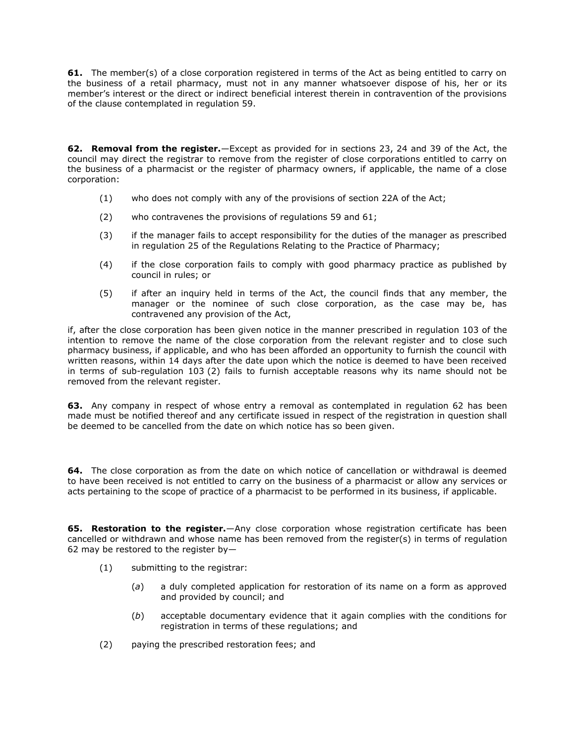**61.** The member(s) of a close corporation registered in terms of the Act as being entitled to carry on the business of a retail pharmacy, must not in any manner whatsoever dispose of his, her or its member's interest or the direct or indirect beneficial interest therein in contravention of the provisions of the clause contemplated in regulation 59.

**62. Removal from the register.**—Except as provided for in [sections 23,](http://www.mylexisnexis.co.za/nxt/gateway.dll/jilc/kilc/xjsg/zmsg/0msg/s24h#0) [24](http://www.mylexisnexis.co.za/nxt/gateway.dll/jilc/kilc/xjsg/zmsg/0msg/u24h#0) and [39](http://www.mylexisnexis.co.za/nxt/gateway.dll/jilc/kilc/xjsg/zmsg/0msg/s34h#0) of the Act, the council may direct the registrar to remove from the register of close corporations entitled to carry on the business of a pharmacist or the register of pharmacy owners, if applicable, the name of a close corporation:

- (1) who does not comply with any of the provisions of [section 22A](http://www.mylexisnexis.co.za/nxt/gateway.dll/jilc/kilc/xjsg/zmsg/0msg/o24h#0) of the Act;
- (2) who contravenes the provisions of [regulations 59](http://www.mylexisnexis.co.za/nxt/gateway.dll/jilc/kilc/xjsg/zmsg/cnsg/6ok2a/lsk2a/8tk2a#3kz) and [61;](http://www.mylexisnexis.co.za/nxt/gateway.dll/jilc/kilc/xjsg/zmsg/cnsg/6ok2a/lsk2a/auk2a#3l1)
- (3) if the manager fails to accept responsibility for the duties of the manager as prescribed in [regulation 25](http://www.mylexisnexis.co.za/nxt/gateway.dll/jilc/kilc/xjsg/zmsg/cnsg/6ok2a/lsk2a/atk2a#3h6) of the Regulations Relating to the Practice of Pharmacy;
- (4) if the close corporation fails to comply with good pharmacy practice as published by council in rules; or
- (5) if after an inquiry held in terms of the Act, the council finds that any member, the manager or the nominee of such close corporation, as the case may be, has contravened any provision of the Act,

if, after the close corporation has been given notice in the manner prescribed in [regulation 103](http://www.mylexisnexis.co.za/nxt/gateway.dll/jilc/kilc/xjsg/zmsg/cnsg/6ok2a/lsk2a/gvk2a#3ny) of the intention to remove the name of the close corporation from the relevant register and to close such pharmacy business, if applicable, and who has been afforded an opportunity to furnish the council with written reasons, within 14 days after the date upon which the notice is deemed to have been received in terms of [sub-regulation 103](http://www.mylexisnexis.co.za/nxt/gateway.dll/jilc/kilc/xjsg/zmsg/cnsg/6ok2a/lsk2a/gvk2a#3o0) (2) fails to furnish acceptable reasons why its name should not be removed from the relevant register.

**63.** Any company in respect of whose entry a removal as contemplated in [regulation 62](http://www.mylexisnexis.co.za/nxt/gateway.dll/jilc/kilc/xjsg/zmsg/cnsg/6ok2a/lsk2a/buk2a#3l2) has been made must be notified thereof and any certificate issued in respect of the registration in question shall be deemed to be cancelled from the date on which notice has so been given.

**64.** The close corporation as from the date on which notice of cancellation or withdrawal is deemed to have been received is not entitled to carry on the business of a pharmacist or allow any services or acts pertaining to the scope of practice of a pharmacist to be performed in its business, if applicable.

**65. Restoration to the register.**—Any close corporation whose registration certificate has been cancelled or withdrawn and whose name has been removed from the register(s) in terms of [regulation](http://www.mylexisnexis.co.za/nxt/gateway.dll/jilc/kilc/xjsg/zmsg/cnsg/6ok2a/lsk2a/buk2a#3l2)  [62](http://www.mylexisnexis.co.za/nxt/gateway.dll/jilc/kilc/xjsg/zmsg/cnsg/6ok2a/lsk2a/buk2a#3l2) may be restored to the register by—

- (1) submitting to the registrar:
	- (*a*) a duly completed application for restoration of its name on a form as approved and provided by council; and
	- (*b*) acceptable documentary evidence that it again complies with the conditions for registration in terms of these regulations; and
- (2) paying the prescribed restoration fees; and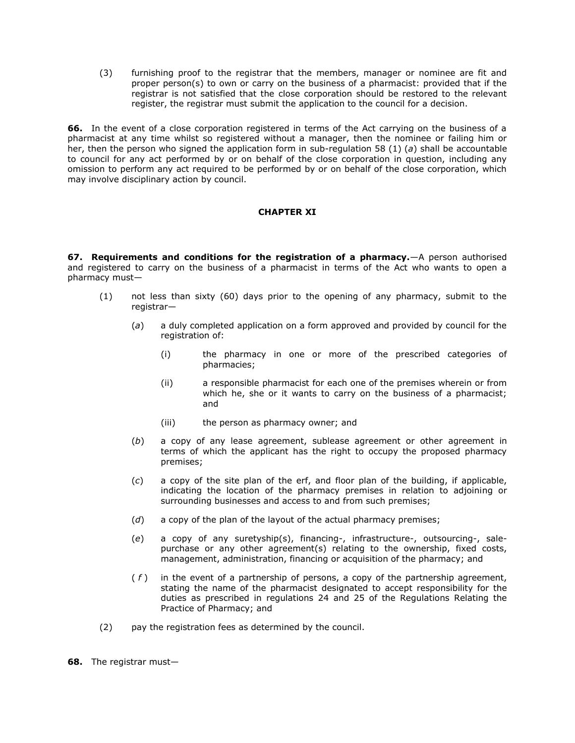(3) furnishing proof to the registrar that the members, manager or nominee are fit and proper person(s) to own or carry on the business of a pharmacist: provided that if the registrar is not satisfied that the close corporation should be restored to the relevant register, the registrar must submit the application to the council for a decision.

**66.** In the event of a close corporation registered in terms of the Act carrying on the business of a pharmacist at any time whilst so registered without a manager, then the nominee or failing him or her, then the person who signed the application form in [sub-regulation 58](http://www.mylexisnexis.co.za/nxt/gateway.dll/jilc/kilc/xjsg/zmsg/cnsg/6ok2a/lsk2a/7tk2a#3kp) (1) (*a*) shall be accountable to council for any act performed by or on behalf of the close corporation in question, including any omission to perform any act required to be performed by or on behalf of the close corporation, which may involve disciplinary action by council.

# **CHAPTER XI**

**67. Requirements and conditions for the registration of a pharmacy.**—A person authorised and registered to carry on the business of a pharmacist in terms of the Act who wants to open a pharmacy must—

- (1) not less than sixty (60) days prior to the opening of any pharmacy, submit to the registrar—
	- (*a*) a duly completed application on a form approved and provided by council for the registration of:
		- (i) the pharmacy in one or more of the prescribed categories of pharmacies;
		- (ii) a responsible pharmacist for each one of the premises wherein or from which he, she or it wants to carry on the business of a pharmacist; and
		- (iii) the person as pharmacy owner; and
	- (*b*) a copy of any lease agreement, sublease agreement or other agreement in terms of which the applicant has the right to occupy the proposed pharmacy premises;
	- (*c*) a copy of the site plan of the erf, and floor plan of the building, if applicable, indicating the location of the pharmacy premises in relation to adjoining or surrounding businesses and access to and from such premises;
	- (*d*) a copy of the plan of the layout of the actual pharmacy premises;
	- (*e*) a copy of any suretyship(s), financing-, infrastructure-, outsourcing-, salepurchase or any other agreement(s) relating to the ownership, fixed costs, management, administration, financing or acquisition of the pharmacy; and
	- ( *f* ) in the event of a partnership of persons, a copy of the partnership agreement, stating the name of the pharmacist designated to accept responsibility for the duties as prescribed in [regulations 24](http://www.mylexisnexis.co.za/nxt/gateway.dll/jilc/kilc/xjsg/zmsg/cnsg/6ok2a/lsk2a/9sk2a#3h5) and [25](http://www.mylexisnexis.co.za/nxt/gateway.dll/jilc/kilc/xjsg/zmsg/cnsg/6ok2a/lsk2a/atk2a#3h6) of the Regulations Relating the Practice of Pharmacy; and
- (2) pay the registration fees as determined by the council.

**68.** The registrar must—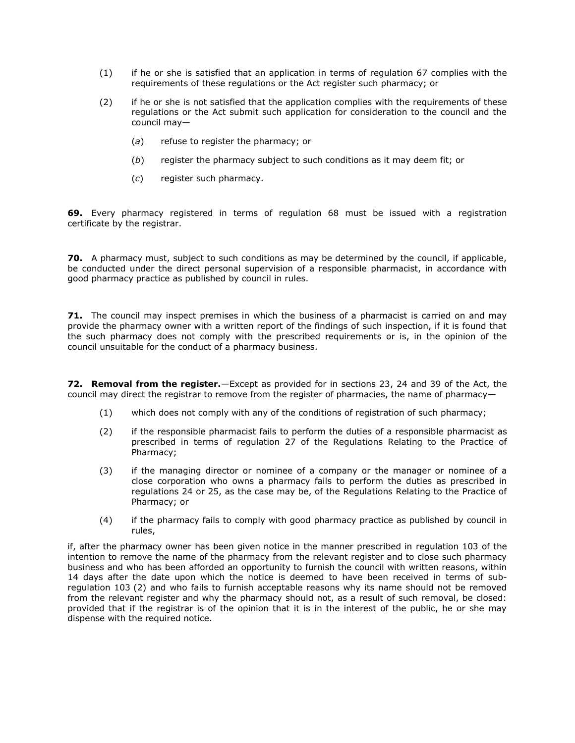- (1) if he or she is satisfied that an application in terms of regulation 67 complies with the requirements of these regulations or the Act register s[uch pharmacy;](http://www.mylexisnexis.co.za/nxt/gateway.dll/jilc/kilc/xjsg/zmsg/cnsg/6ok2a/lsk2a/guk2a#3lh) or
- (2) if he or she is not satisfied that the application complies with the requirements of these regulations or the Act submit such application for consideration to the council and the council may—
	- (*a*) refuse to register the pharmacy; or
	- (*b*) register the pharmacy subject to such conditions as it may deem fit; or
	- (*c*) register such pharmacy.

**69.** Every pharmacy registered in terms of [regulation 68](http://www.mylexisnexis.co.za/nxt/gateway.dll/jilc/kilc/xjsg/zmsg/cnsg/6ok2a/lsk2a/huk2a#3lt) must be issued with a registration certificate by the registrar.

**70.** A pharmacy must, subject to such conditions as may be determined by the council, if applicable, be conducted under the direct personal supervision of a responsible pharmacist, in accordance with good pharmacy practice as published by council in rules.

**71.** The council may inspect premises in which the business of a pharmacist is carried on and may provide the pharmacy owner with a written report of the findings of such inspection, if it is found that the such pharmacy does not comply with the prescribed requirements or is, in the opinion of the council unsuitable for the conduct of a pharmacy business.

**72. Removal from the register.**—Except as provided for in [sections 23,](http://www.mylexisnexis.co.za/nxt/gateway.dll/jilc/kilc/xjsg/zmsg/0msg/s24h#0) [24](http://www.mylexisnexis.co.za/nxt/gateway.dll/jilc/kilc/xjsg/zmsg/0msg/u24h#0) and [39](http://www.mylexisnexis.co.za/nxt/gateway.dll/jilc/kilc/xjsg/zmsg/0msg/s34h#0) of the Act, the council may direct the registrar to remove from the register of pharmacies, the name of pharmacy—

- (1) which does not comply with any of the conditions of registration of such pharmacy;
- (2) if the responsible pharmacist fails to perform the duties of a responsible pharmacist as prescribed in terms of [regulation 27](http://www.mylexisnexis.co.za/nxt/gateway.dll/jilc/kilc/xjsg/zmsg/cnsg/6ok2a/lsk2a/ctk2a#3hg) of the Regulations Relating to the Practice of Pharmacy;
- (3) if the managing director or nominee of a company or the manager or nominee of a close corporation who owns a pharmacy fails to perform the duties as prescribed in [regulations](http://www.mylexisnexis.co.za/nxt/gateway.dll/jilc/kilc/xjsg/zmsg/cnsg/6ok2a/lsk2a/9sk2a#3h5) 24 or [25,](http://www.mylexisnexis.co.za/nxt/gateway.dll/jilc/kilc/xjsg/zmsg/cnsg/6ok2a/lsk2a/atk2a#3h6) as the case may be, of the Regulations Relating to the Practice of Pharmacy; or
- (4) if the pharmacy fails to comply with good pharmacy practice as published by council in rules,

if, after the pharmacy owner has been given notice in the manner prescribed in [regulation 103](http://www.mylexisnexis.co.za/nxt/gateway.dll/jilc/kilc/xjsg/zmsg/cnsg/6ok2a/lsk2a/gvk2a#3ny) of the intention to remove the name of the pharmacy from the relevant register and to close such pharmacy business and who has been afforded an opportunity to furnish the council with written reasons, within 14 days after the date upon which the notice is deemed to have been received in terms of [sub](http://www.mylexisnexis.co.za/nxt/gateway.dll/jilc/kilc/xjsg/zmsg/cnsg/6ok2a/lsk2a/gvk2a#3o0)[regulation 103](http://www.mylexisnexis.co.za/nxt/gateway.dll/jilc/kilc/xjsg/zmsg/cnsg/6ok2a/lsk2a/gvk2a#3o0) (2) and who fails to furnish acceptable reasons why its name should not be removed from the relevant register and why the pharmacy should not, as a result of such removal, be closed: provided that if the registrar is of the opinion that it is in the interest of the public, he or she may dispense with the required notice.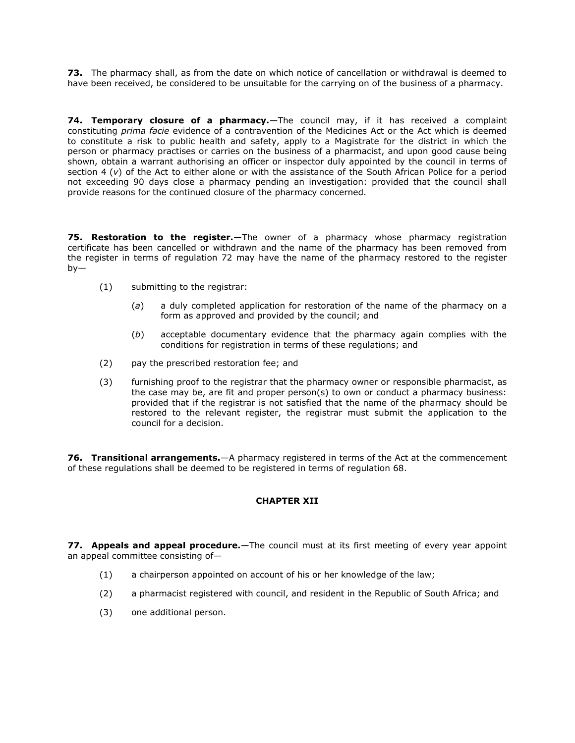**73.** The pharmacy shall, as from the date on which notice of cancellation or withdrawal is deemed to have been received, be considered to be unsuitable for the carrying on of the business of a pharmacy.

**74. Temporary closure of a pharmacy.**—The council may, if it has received a complaint constituting *prima facie* evidence of a contravention of the Medicines Act or the Act which is deemed to constitute a risk to public health and safety, apply to a Magistrate for the district in which the person or pharmacy practises or carries on the business of a pharmacist, and upon good cause being shown, obtain a warrant authorising an officer or inspector duly appointed by the council in terms of [section 4](http://www.mylexisnexis.co.za/nxt/gateway.dll/jilc/kilc/xjsg/zmsg/0msg/m14h#m) (*v*) of the Act to either alone or with the assistance of the South African Police for a period not exceeding 90 days close a pharmacy pending an investigation: provided that the council shall provide reasons for the continued closure of the pharmacy concerned.

**75. Restoration to the register.—**The owner of a pharmacy whose pharmacy registration certificate has been cancelled or withdrawn and the name of the pharmacy has been removed from the register in terms of [regulation 72](http://www.mylexisnexis.co.za/nxt/gateway.dll/jilc/kilc/xjsg/zmsg/cnsg/6ok2a/lsk2a/luk2a#3m2) may have the name of the pharmacy restored to the register by—

- (1) submitting to the registrar:
	- (*a*) a duly completed application for restoration of the name of the pharmacy on a form as approved and provided by the council; and
	- (*b*) acceptable documentary evidence that the pharmacy again complies with the conditions for registration in terms of these regulations; and
- (2) pay the prescribed restoration fee; and
- (3) furnishing proof to the registrar that the pharmacy owner or responsible pharmacist, as the case may be, are fit and proper person(s) to own or conduct a pharmacy business: provided that if the registrar is not satisfied that the name of the pharmacy should be restored to the relevant register, the registrar must submit the application to the council for a decision.

**76. Transitional arrangements.**—A pharmacy registered in terms of the Act at the commencement of these regulations shall be deemed to be registered in terms of [regulation 68.](http://www.mylexisnexis.co.za/nxt/gateway.dll/jilc/kilc/xjsg/zmsg/cnsg/6ok2a/lsk2a/huk2a#3lt)

# **CHAPTER XII**

**77. Appeals and appeal procedure.**—The council must at its first meeting of every year appoint an appeal committee consisting of—

- (1) a chairperson appointed on account of his or her knowledge of the law;
- (2) a pharmacist registered with council, and resident in the Republic of South Africa; and
- (3) one additional person.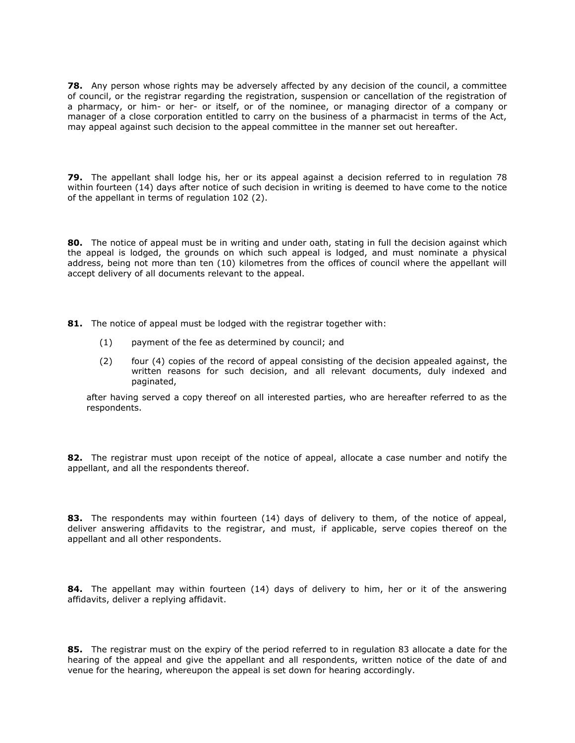**78.** Any person whose rights may be adversely affected by any decision of the council, a committee of council, or the registrar regarding the registration, suspension or cancellation of the registration of a pharmacy, or him- or her- or itself, or of the nominee, or managing director of a company or manager of a close corporation entitled to carry on the business of a pharmacist in terms of the Act, may appeal against such decision to the appeal committee in the manner set out hereafter.

**79.** The appellant shall lodge his, her or its appeal against a decision referred to in [regulation 78](http://www.mylexisnexis.co.za/nxt/gateway.dll/jilc/kilc/xjsg/zmsg/cnsg/6ok2a/lsk2a/ruk2a#3mk) within fourteen (14) days after notice of such decision in writing is deemed to have come to the notice of the appellant in terms of [regulation 102](http://www.mylexisnexis.co.za/nxt/gateway.dll/jilc/kilc/xjsg/zmsg/cnsg/6ok2a/lsk2a/fvk2a#3nt) (2).

**80.** The notice of appeal must be in writing and under oath, stating in full the decision against which the appeal is lodged, the grounds on which such appeal is lodged, and must nominate a physical address, being not more than ten (10) kilometres from the offices of council where the appellant will accept delivery of all documents relevant to the appeal.

- **81.** The notice of appeal must be lodged with the registrar together with:
	- (1) payment of the fee as determined by council; and
	- (2) four (4) copies of the record of appeal consisting of the decision appealed against, the written reasons for such decision, and all relevant documents, duly indexed and paginated,

after having served a copy thereof on all interested parties, who are hereafter referred to as the respondents.

**82.** The registrar must upon receipt of the notice of appeal, allocate a case number and notify the appellant, and all the respondents thereof.

**83.** The respondents may within fourteen (14) days of delivery to them, of the notice of appeal, deliver answering affidavits to the registrar, and must, if applicable, serve copies thereof on the appellant and all other respondents.

**84.** The appellant may within fourteen (14) days of delivery to him, her or it of the answering affidavits, deliver a replying affidavit.

**85.** The registrar must on the expiry of the period referred to in [regulation 83](http://www.mylexisnexis.co.za/nxt/gateway.dll/jilc/kilc/xjsg/zmsg/cnsg/6ok2a/lsk2a/wuk2a#3mr) allocate a date for the hearing of the appeal and give the appellant and all respondents, written notice of the date of and venue for the hearing, whereupon the appeal is set down for hearing accordingly.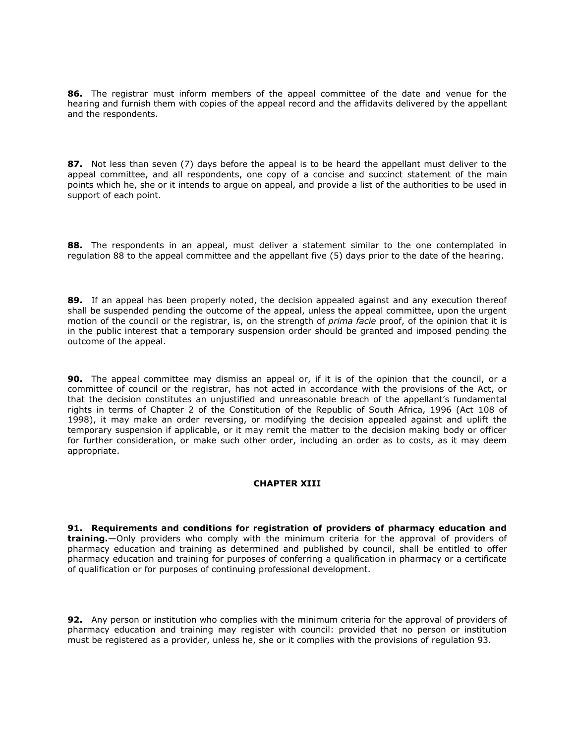**86.** The registrar must inform members of the appeal committee of the date and venue for the hearing and furnish them with copies of the appeal record and the affidavits delivered by the appellant and the respondents.

**87.** Not less than seven (7) days before the appeal is to be heard the appellant must deliver to the appeal committee, and all respondents, one copy of a concise and succinct statement of the main points which he, she or it intends to argue on appeal, and provide a list of the authorities to be used in support of each point.

**88.** The respondents in an appeal, must deliver a statement similar to the one contemplated in [regulation 88](http://www.mylexisnexis.co.za/nxt/gateway.dll/jilc/kilc/xjsg/zmsg/cnsg/6ok2a/lsk2a/1uk2a?f=templates$fn=document-frame.htm$3.0$q=$x=$nc=1165#3mw) to the appeal committee and the appellant five (5) days prior to the date of the hearing.

**89.** If an appeal has been properly noted, the decision appealed against and any execution thereof shall be suspended pending the outcome of the appeal, unless the appeal committee, upon the urgent motion of the council or the registrar, is, on the strength of *prima facie* proof, of the opinion that it is in the public interest that a temporary suspension order should be granted and imposed pending the outcome of the appeal.

**90.** The appeal committee may dismiss an appeal or, if it is of the opinion that the council, or a committee of council or the registrar, has not acted in accordance with the provisions of the Act, or that the decision constitutes an unjustified and unreasonable breach of the appellant's fundamental rights in terms of Chapter 2 of the Constitution of the Republic of South Africa, 1996 (Act [108 of](http://www.mylexisnexis.co.za/nxt/gateway.dll/jilc/kilc/ebsg/8bsg/9bsg#0)  [1998\)](http://www.mylexisnexis.co.za/nxt/gateway.dll/jilc/kilc/ebsg/8bsg/9bsg#0), it may make an order reversing, or modifying the decision appealed against and uplift the temporary suspension if applicable, or it may remit the matter to the decision making body or officer for further consideration, or make such other order, including an order as to costs, as it may deem appropriate.

# **CHAPTER XIII**

**91. Requirements and conditions for registration of providers of pharmacy education and training.**—Only providers who comply with the minimum criteria for the approval of providers of pharmacy education and training as determined and published by council, shall be entitled to offer pharmacy education and training for purposes of conferring a qualification in pharmacy or a certificate of qualification or for purposes of continuing professional development.

**92.** Any person or institution who complies with the minimum criteria for the approval of providers of pharmacy education and training may register with council: provided that no person or institution must be registered as a provider, unless he, she or it complies with the provisions of [regulation 93.](http://www.mylexisnexis.co.za/nxt/gateway.dll/jilc/kilc/xjsg/zmsg/cnsg/6ok2a/lsk2a/6uk2a#3n1)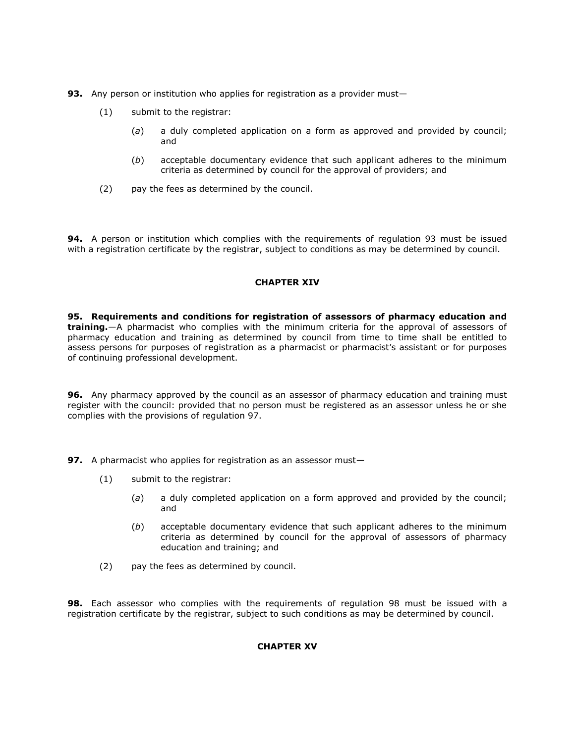- **93.** Any person or institution who applies for registration as a provider must-
	- (1) submit to the registrar:
		- (*a*) a duly completed application on a form as approved and provided by council; and
		- (*b*) acceptable documentary evidence that such applicant adheres to the minimum criteria as determined by council for the approval of providers; and
	- (2) pay the fees as determined by the council.

**94.** A person or institution which complies with the requirements of [regulation 93](http://www.mylexisnexis.co.za/nxt/gateway.dll/jilc/kilc/xjsg/zmsg/cnsg/6ok2a/lsk2a/6uk2a#3n1) must be issued with a registration certificate by the registrar, subject to conditions as may be determined by council.

### **CHAPTER XIV**

**95. Requirements and conditions for registration of assessors of pharmacy education and training.**—A pharmacist who complies with the minimum criteria for the approval of assessors of pharmacy education and training as determined by council from time to time shall be entitled to assess persons for purposes of registration as a pharmacist or pharmacist's assistant or for purposes of continuing professional development.

**96.** Any pharmacy approved by the council as an assessor of pharmacy education and training must register with the council: provided that no person must be registered as an assessor unless he or she complies with the provisions of [regulation 97.](http://www.mylexisnexis.co.za/nxt/gateway.dll/jilc/kilc/xjsg/zmsg/cnsg/6ok2a/lsk2a/avk2a#3n9)

**97.** A pharmacist who applies for registration as an assessor must-

- (1) submit to the registrar:
	- (*a*) a duly completed application on a form approved and provided by the council; and
	- (*b*) acceptable documentary evidence that such applicant adheres to the minimum criteria as determined by council for the approval of assessors of pharmacy education and training; and
- (2) pay the fees as determined by council.

**98.** Each assessor who complies with the requirements of [regulation 98](http://www.mylexisnexis.co.za/nxt/gateway.dll/jilc/kilc/xjsg/zmsg/cnsg/6ok2a/lsk2a/bvk2a?f=templates$fn=document-frame.htm$3.0$q=$x=$nc=4222#3ne) must be issued with a registration certificate by the registrar, subject to such conditions as may be determined by council.

### **CHAPTER XV**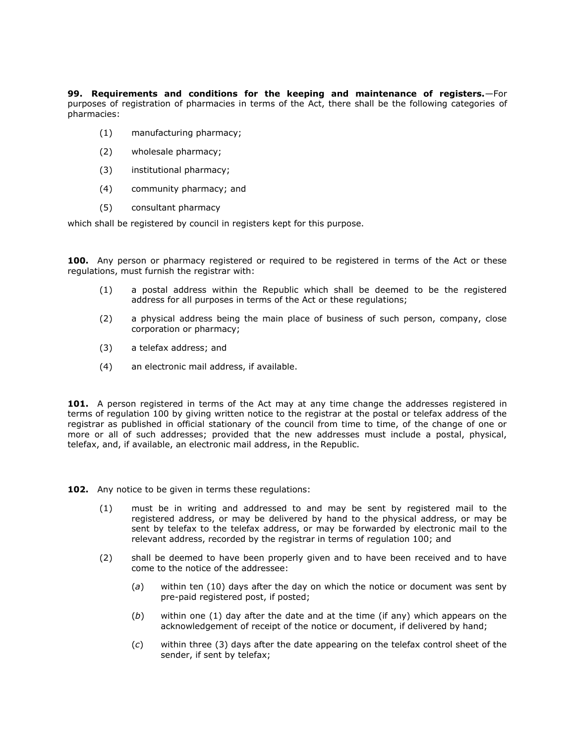**99. Requirements and conditions for the keeping and maintenance of registers.**—For purposes of registration of pharmacies in terms of the Act, there shall be the following categories of pharmacies:

- (1) manufacturing pharmacy;
- (2) wholesale pharmacy;
- (3) institutional pharmacy;
- (4) community pharmacy; and
- (5) consultant pharmacy

which shall be registered by council in registers kept for this purpose.

**100.** Any person or pharmacy registered or required to be registered in terms of the Act or these regulations, must furnish the registrar with:

- (1) a postal address within the Republic which shall be deemed to be the registered address for all purposes in terms of the Act or these regulations;
- (2) a physical address being the main place of business of such person, company, close corporation or pharmacy;
- (3) a telefax address; and
- (4) an electronic mail address, if available.

**101.** A person registered in terms of the Act may at any time change the addresses registered in terms of [regulation 100](http://www.mylexisnexis.co.za/nxt/gateway.dll/jilc/kilc/xjsg/zmsg/cnsg/6ok2a/lsk2a/dvk2a#3nl) by giving written notice to the registrar at the postal or telefax address of the registrar as published in official stationary of the council from time to time, of the change of one or more or all of such addresses; provided that the new addresses must include a postal, physical, telefax, and, if available, an electronic mail address, in the Republic.

**102.** Any notice to be given in terms these regulations:

- (1) must be in writing and addressed to and may be sent by registered mail to the registered address, or may be delivered by hand to the physical address, or may be sent by telefax to the telefax address, or may be forwarded by electronic mail to the relevant address, recorded by the registrar in terms of [regulation 100;](http://www.mylexisnexis.co.za/nxt/gateway.dll/jilc/kilc/xjsg/zmsg/cnsg/6ok2a/lsk2a/dvk2a#3nl) and
- (2) shall be deemed to have been properly given and to have been received and to have come to the notice of the addressee:
	- (*a*) within ten (10) days after the day on which the notice or document was sent by pre-paid registered post, if posted;
	- (*b*) within one (1) day after the date and at the time (if any) which appears on the acknowledgement of receipt of the notice or document, if delivered by hand;
	- (*c*) within three (3) days after the date appearing on the telefax control sheet of the sender, if sent by telefax;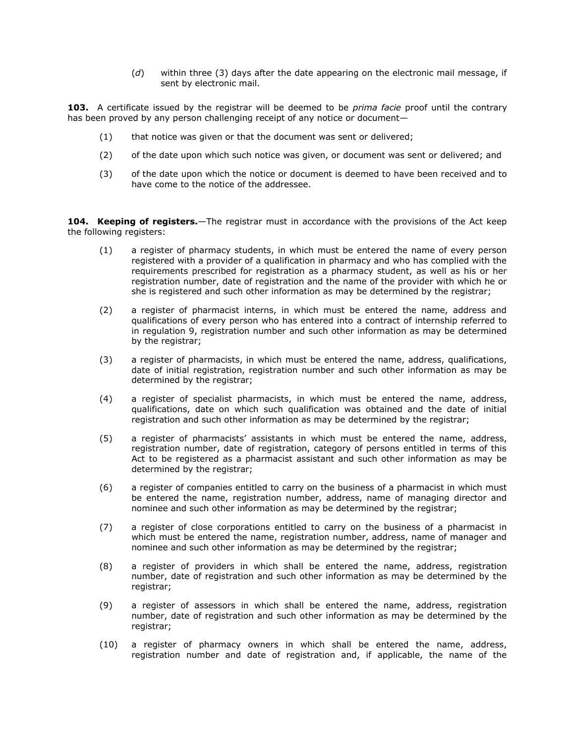(*d*) within three (3) days after the date appearing on the electronic mail message, if sent by electronic mail.

**103.** A certificate issued by the registrar will be deemed to be *prima facie* proof until the contrary has been proved by any person challenging receipt of any notice or document—

- (1) that notice was given or that the document was sent or delivered;
- (2) of the date upon which such notice was given, or document was sent or delivered; and
- (3) of the date upon which the notice or document is deemed to have been received and to have come to the notice of the addressee.

104. **Keeping of registers.**—The registrar must in accordance with the provisions of the Act keep the following registers:

- (1) a register of pharmacy students, in which must be entered the name of every person registered with a provider of a qualification in pharmacy and who has complied with the requirements prescribed for registration as a pharmacy student, as well as his or her registration number, date of registration and the name of the provider with which he or she is registered and such other information as may be determined by the registrar;
- (2) a register of pharmacist interns, in which must be entered the name, address and qualifications of every person who has entered into a contract of internship referred to in [regulation 9,](http://www.mylexisnexis.co.za/nxt/gateway.dll/jilc/kilc/xjsg/zmsg/cnsg/6ok2a/lsk2a/usk2a#3eu) registration number and such other information as may be determined by the registrar;
- (3) a register of pharmacists, in which must be entered the name, address, qualifications, date of initial registration, registration number and such other information as may be determined by the registrar;
- (4) a register of specialist pharmacists, in which must be entered the name, address, qualifications, date on which such qualification was obtained and the date of initial registration and such other information as may be determined by the registrar;
- (5) a register of pharmacists' assistants in which must be entered the name, address, registration number, date of registration, category of persons entitled in terms of this Act to be registered as a pharmacist assistant and such other information as may be determined by the registrar;
- (6) a register of companies entitled to carry on the business of a pharmacist in which must be entered the name, registration number, address, name of managing director and nominee and such other information as may be determined by the registrar;
- (7) a register of close corporations entitled to carry on the business of a pharmacist in which must be entered the name, registration number, address, name of manager and nominee and such other information as may be determined by the registrar;
- (8) a register of providers in which shall be entered the name, address, registration number, date of registration and such other information as may be determined by the registrar;
- (9) a register of assessors in which shall be entered the name, address, registration number, date of registration and such other information as may be determined by the registrar;
- (10) a register of pharmacy owners in which shall be entered the name, address, registration number and date of registration and, if applicable, the name of the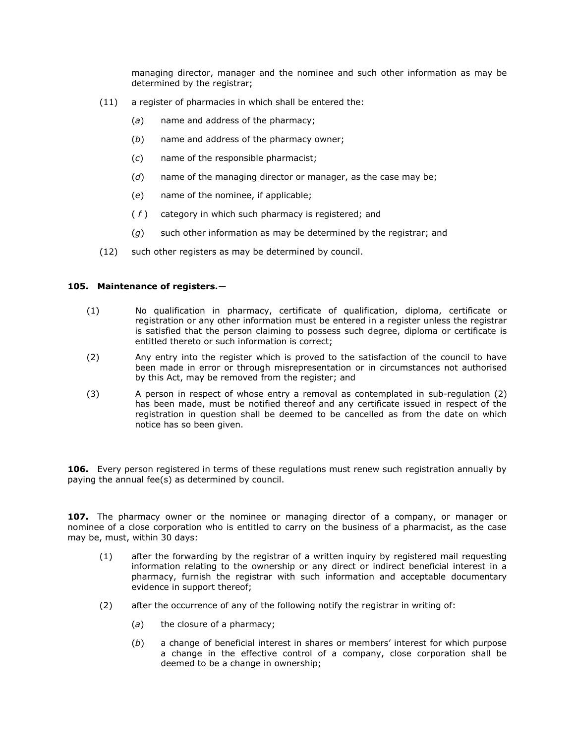managing director, manager and the nominee and such other information as may be determined by the registrar;

- (11) a register of pharmacies in which shall be entered the:
	- (*a*) name and address of the pharmacy;
	- (*b*) name and address of the pharmacy owner;
	- (*c*) name of the responsible pharmacist;
	- (*d*) name of the managing director or manager, as the case may be;
	- (*e*) name of the nominee, if applicable;
	- ( *f* ) category in which such pharmacy is registered; and
	- (*g*) such other information as may be determined by the registrar; and
- (12) such other registers as may be determined by council.

### **105. Maintenance of registers.**—

- (1) No qualification in pharmacy, certificate of qualification, diploma, certificate or registration or any other information must be entered in a register unless the registrar is satisfied that the person claiming to possess such degree, diploma or certificate is entitled thereto or such information is correct;
- (2) Any entry into the register which is proved to the satisfaction of the council to have been made in error or through misrepresentation or in circumstances not authorised by this Act, may be removed from the register; and
- (3) A person in respect of whose entry a removal as contemplated in [sub-regulation \(2\)](http://www.mylexisnexis.co.za/nxt/gateway.dll/jilc/kilc/xjsg/zmsg/cnsg/6ok2a/lsk2a/ivk2a?f=templates$fn=document-frame.htm$3.0$q=$x=$nc=5940#3oo) has been made, must be notified thereof and any certificate issued in respect of the registration in question shall be deemed to be cancelled as from the date on which notice has so been given.

**106.** Every person registered in terms of these regulations must renew such registration annually by paying the annual fee(s) as determined by council.

**107.** The pharmacy owner or the nominee or managing director of a company, or manager or nominee of a close corporation who is entitled to carry on the business of a pharmacist, as the case may be, must, within 30 days:

- (1) after the forwarding by the registrar of a written inquiry by registered mail requesting information relating to the ownership or any direct or indirect beneficial interest in a pharmacy, furnish the registrar with such information and acceptable documentary evidence in support thereof;
- (2) after the occurrence of any of the following notify the registrar in writing of:
	- (*a*) the closure of a pharmacy;
	- (*b*) a change of beneficial interest in shares or members' interest for which purpose a change in the effective control of a company, close corporation shall be deemed to be a change in ownership;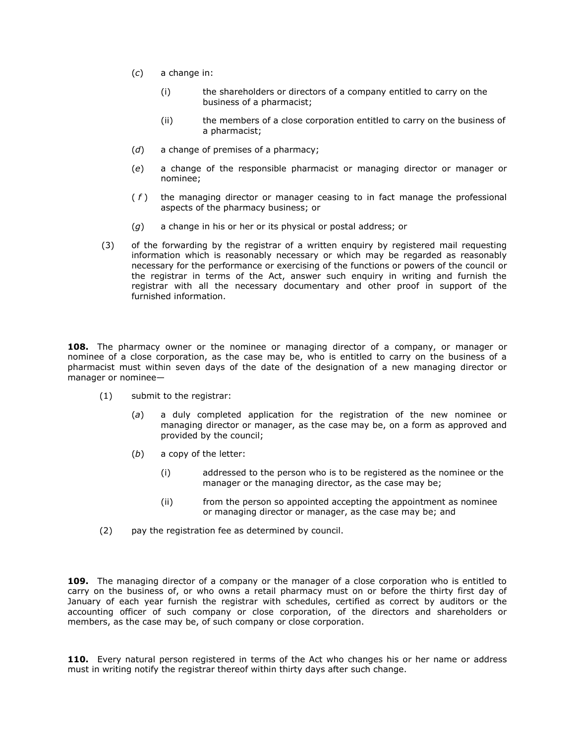- (*c*) a change in:
	- (i) the shareholders or directors of a company entitled to carry on the business of a pharmacist;
	- (ii) the members of a close corporation entitled to carry on the business of a pharmacist;
- (*d*) a change of premises of a pharmacy;
- (*e*) a change of the responsible pharmacist or managing director or manager or nominee;
- ( *f* ) the managing director or manager ceasing to in fact manage the professional aspects of the pharmacy business; or
- (*g*) a change in his or her or its physical or postal address; or
- (3) of the forwarding by the registrar of a written enquiry by registered mail requesting information which is reasonably necessary or which may be regarded as reasonably necessary for the performance or exercising of the functions or powers of the council or the registrar in terms of the Act, answer such enquiry in writing and furnish the registrar with all the necessary documentary and other proof in support of the furnished information.

**108.** The pharmacy owner or the nominee or managing director of a company, or manager or nominee of a close corporation, as the case may be, who is entitled to carry on the business of a pharmacist must within seven days of the date of the designation of a new managing director or manager or nominee—

- (1) submit to the registrar:
	- (*a*) a duly completed application for the registration of the new nominee or managing director or manager, as the case may be, on a form as approved and provided by the council;
	- (*b*) a copy of the letter:
		- (i) addressed to the person who is to be registered as the nominee or the manager or the managing director, as the case may be;
		- (ii) from the person so appointed accepting the appointment as nominee or managing director or manager, as the case may be; and
- (2) pay the registration fee as determined by council.

**109.** The managing director of a company or the manager of a close corporation who is entitled to carry on the business of, or who owns a retail pharmacy must on or before the thirty first day of January of each year furnish the registrar with schedules, certified as correct by auditors or the accounting officer of such company or close corporation, of the directors and shareholders or members, as the case may be, of such company or close corporation.

**110.** Every natural person registered in terms of the Act who changes his or her name or address must in writing notify the registrar thereof within thirty days after such change.